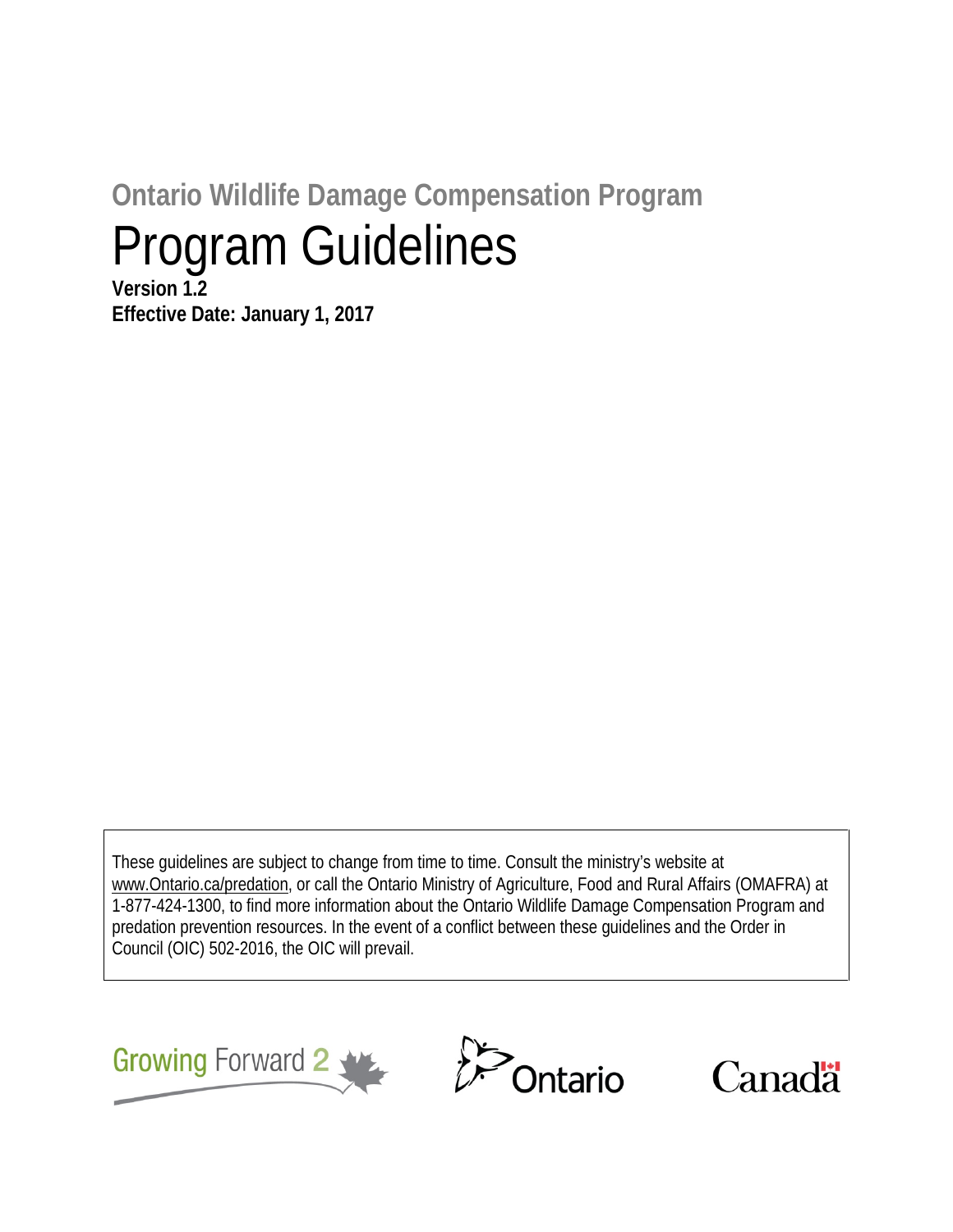# **Ontario Wildlife Damage Compensation Program** Program Guidelines

**Version 1.2 Effective Date: January 1, 2017**

These guidelines are subject to change from time to time. Consult the ministry's website at www.Ontario.ca/predation, or call the Ontario Ministry of Agriculture, Food and Rural Affairs (OMAFRA) at 1-877-424-1300, to find more information about the Ontario Wildlife Damage Compensation Program and predation prevention resources. In the event of a conflict between these guidelines and the Order in Council (OIC) 502-2016, the OIC will prevail.





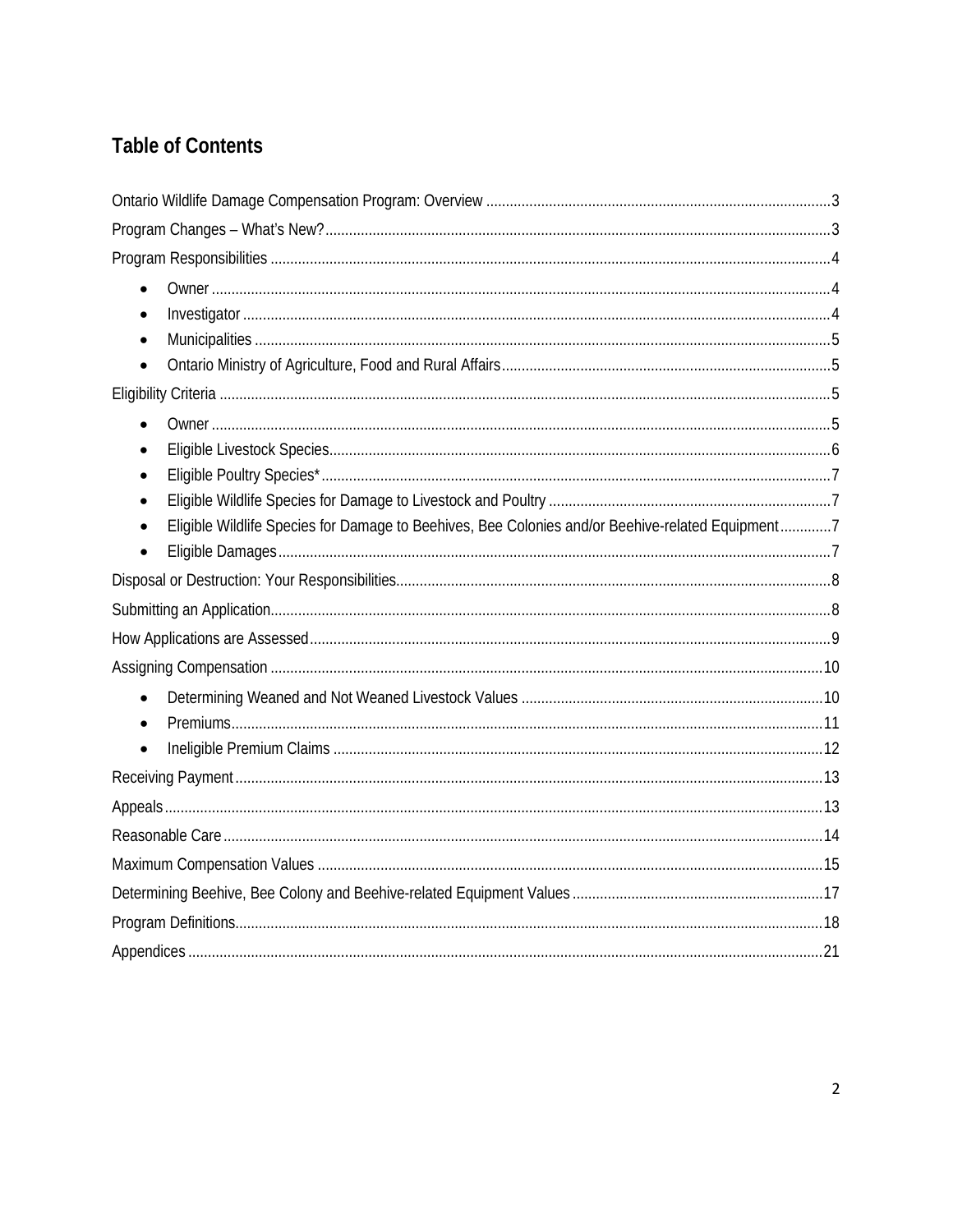# **Table of Contents**

| $\bullet$                                                                                        |  |
|--------------------------------------------------------------------------------------------------|--|
| $\bullet$                                                                                        |  |
| $\bullet$                                                                                        |  |
|                                                                                                  |  |
|                                                                                                  |  |
| $\bullet$                                                                                        |  |
| $\bullet$                                                                                        |  |
| $\bullet$                                                                                        |  |
| $\bullet$                                                                                        |  |
| Eligible Wildlife Species for Damage to Beehives, Bee Colonies and/or Beehive-related Equipment7 |  |
|                                                                                                  |  |
|                                                                                                  |  |
|                                                                                                  |  |
|                                                                                                  |  |
|                                                                                                  |  |
| $\bullet$                                                                                        |  |
| $\bullet$                                                                                        |  |
| $\bullet$                                                                                        |  |
|                                                                                                  |  |
|                                                                                                  |  |
|                                                                                                  |  |
|                                                                                                  |  |
|                                                                                                  |  |
|                                                                                                  |  |
|                                                                                                  |  |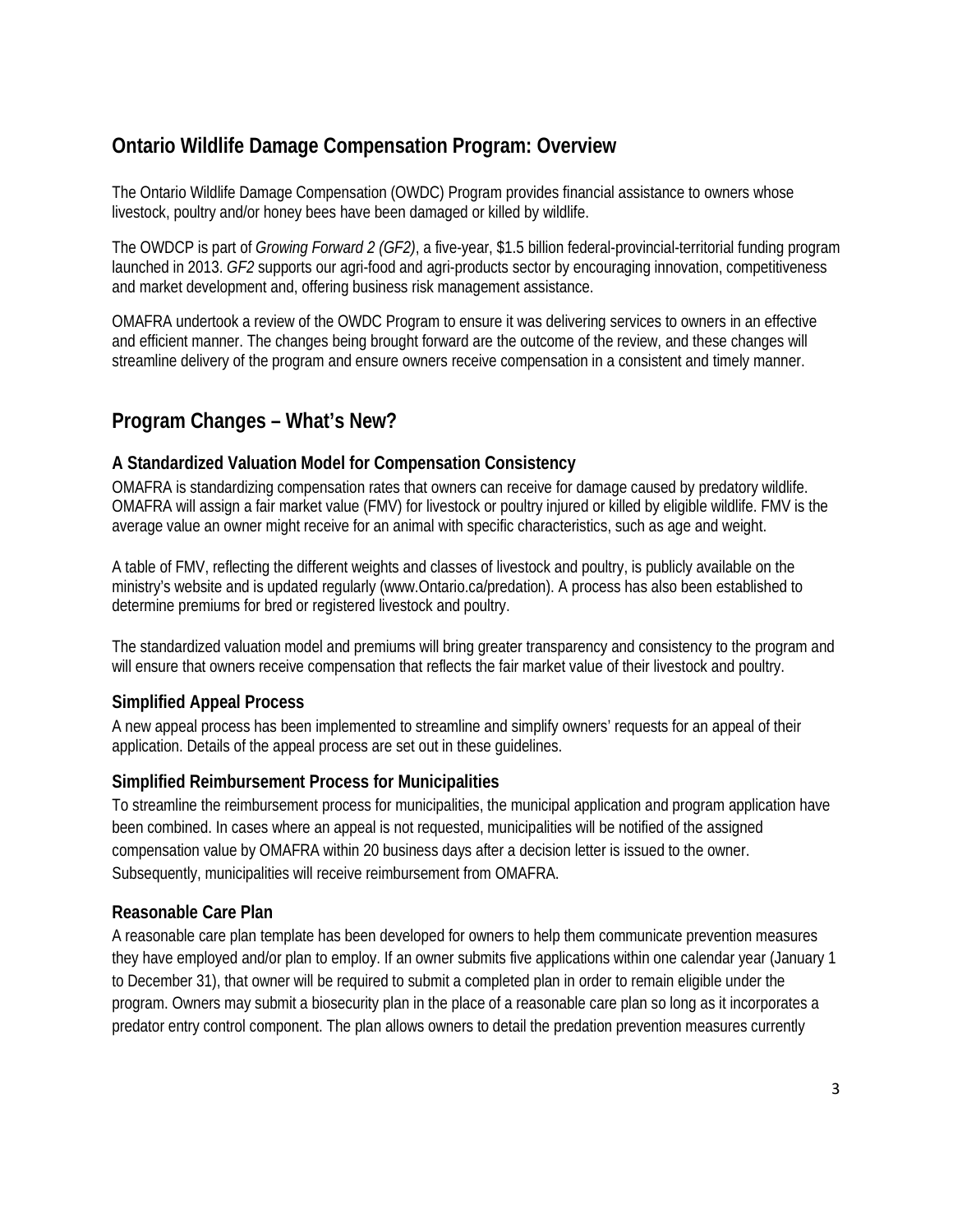# <span id="page-2-0"></span>**Ontario Wildlife Damage Compensation Program: Overview**

The Ontario Wildlife Damage Compensation (OWDC) Program provides financial assistance to owners whose livestock, poultry and/or honey bees have been damaged or killed by wildlife.

The OWDCP is part of *Growing Forward 2 (GF2)*, a five-year, \$1.5 billion federal-provincial-territorial funding program launched in 2013. *GF2* supports our agri-food and agri-products sector by encouraging innovation, competitiveness and market development and, offering business risk management assistance.

OMAFRA undertook a review of the OWDC Program to ensure it was delivering services to owners in an effective and efficient manner. The changes being brought forward are the outcome of the review, and these changes will streamline delivery of the program and ensure owners receive compensation in a consistent and timely manner.

# <span id="page-2-1"></span>**Program Changes – What's New?**

#### **A Standardized Valuation Model for Compensation Consistency**

OMAFRA is standardizing compensation rates that owners can receive for damage caused by predatory wildlife. OMAFRA will assign a fair market value (FMV) for livestock or poultry injured or killed by eligible wildlife. FMV is the average value an owner might receive for an animal with specific characteristics, such as age and weight.

A table of FMV, reflecting the different weights and classes of livestock and poultry, is publicly available on the ministry's website and is updated regularly (www.Ontario.ca/predation). A process has also been established to determine premiums for bred or registered livestock and poultry.

The standardized valuation model and premiums will bring greater transparency and consistency to the program and will ensure that owners receive compensation that reflects the fair market value of their livestock and poultry.

#### **Simplified Appeal Process**

A new appeal process has been implemented to streamline and simplify owners' requests for an appeal of their application. Details of the appeal process are set out in these guidelines.

#### **Simplified Reimbursement Process for Municipalities**

To streamline the reimbursement process for municipalities, the municipal application and program application have been combined. In cases where an appeal is not requested, municipalities will be notified of the assigned compensation value by OMAFRA within 20 business days after a decision letter is issued to the owner. Subsequently, municipalities will receive reimbursement from OMAFRA.

#### **Reasonable Care Plan**

A reasonable care plan template has been developed for owners to help them communicate prevention measures they have employed and/or plan to employ. If an owner submits five applications within one calendar year (January 1 to December 31), that owner will be required to submit a completed plan in order to remain eligible under the program. Owners may submit a biosecurity plan in the place of a reasonable care plan so long as it incorporates a predator entry control component. The plan allows owners to detail the predation prevention measures currently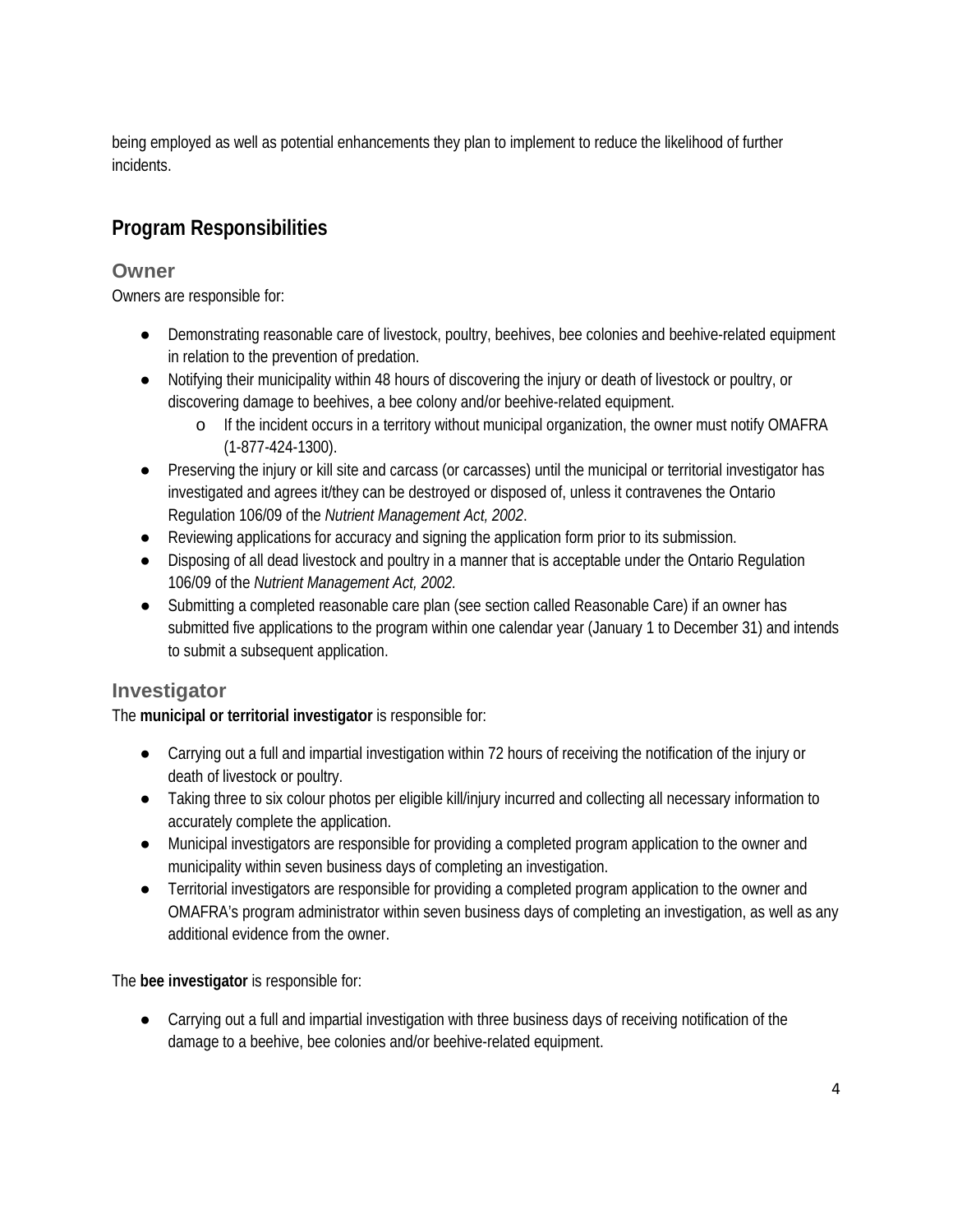being employed as well as potential enhancements they plan to implement to reduce the likelihood of further incidents.

# <span id="page-3-0"></span>**Program Responsibilities**

### <span id="page-3-1"></span>**Owner**

Owners are responsible for:

- Demonstrating reasonable care of livestock, poultry, beehives, bee colonies and beehive-related equipment in relation to the prevention of predation.
- Notifying their municipality within 48 hours of discovering the injury or death of livestock or poultry, or discovering damage to beehives, a bee colony and/or beehive-related equipment.
	- o If the incident occurs in a territory without municipal organization, the owner must notify OMAFRA (1-877-424-1300).
- Preserving the injury or kill site and carcass (or carcasses) until the municipal or territorial investigator has investigated and agrees it/they can be destroyed or disposed of, unless it contravenes the Ontario Regulation 106/09 of the *Nutrient Management Act, 2002*.
- Reviewing applications for accuracy and signing the application form prior to its submission.
- Disposing of all dead livestock and poultry in a manner that is acceptable under the Ontario Regulation 106/09 of the *Nutrient Management Act, 2002.*
- Submitting a completed reasonable care plan (see section called Reasonable Care) if an owner has submitted five applications to the program within one calendar year (January 1 to December 31) and intends to submit a subsequent application.

## <span id="page-3-2"></span>**Investigator**

The **municipal or territorial investigator** is responsible for:

- Carrying out a full and impartial investigation within 72 hours of receiving the notification of the injury or death of livestock or poultry.
- Taking three to six colour photos per eligible kill/injury incurred and collecting all necessary information to accurately complete the application.
- Municipal investigators are responsible for providing a completed program application to the owner and municipality within seven business days of completing an investigation.
- Territorial investigators are responsible for providing a completed program application to the owner and OMAFRA's program administrator within seven business days of completing an investigation, as well as any additional evidence from the owner.

The **bee investigator** is responsible for:

● Carrying out a full and impartial investigation with three business days of receiving notification of the damage to a beehive, bee colonies and/or beehive-related equipment.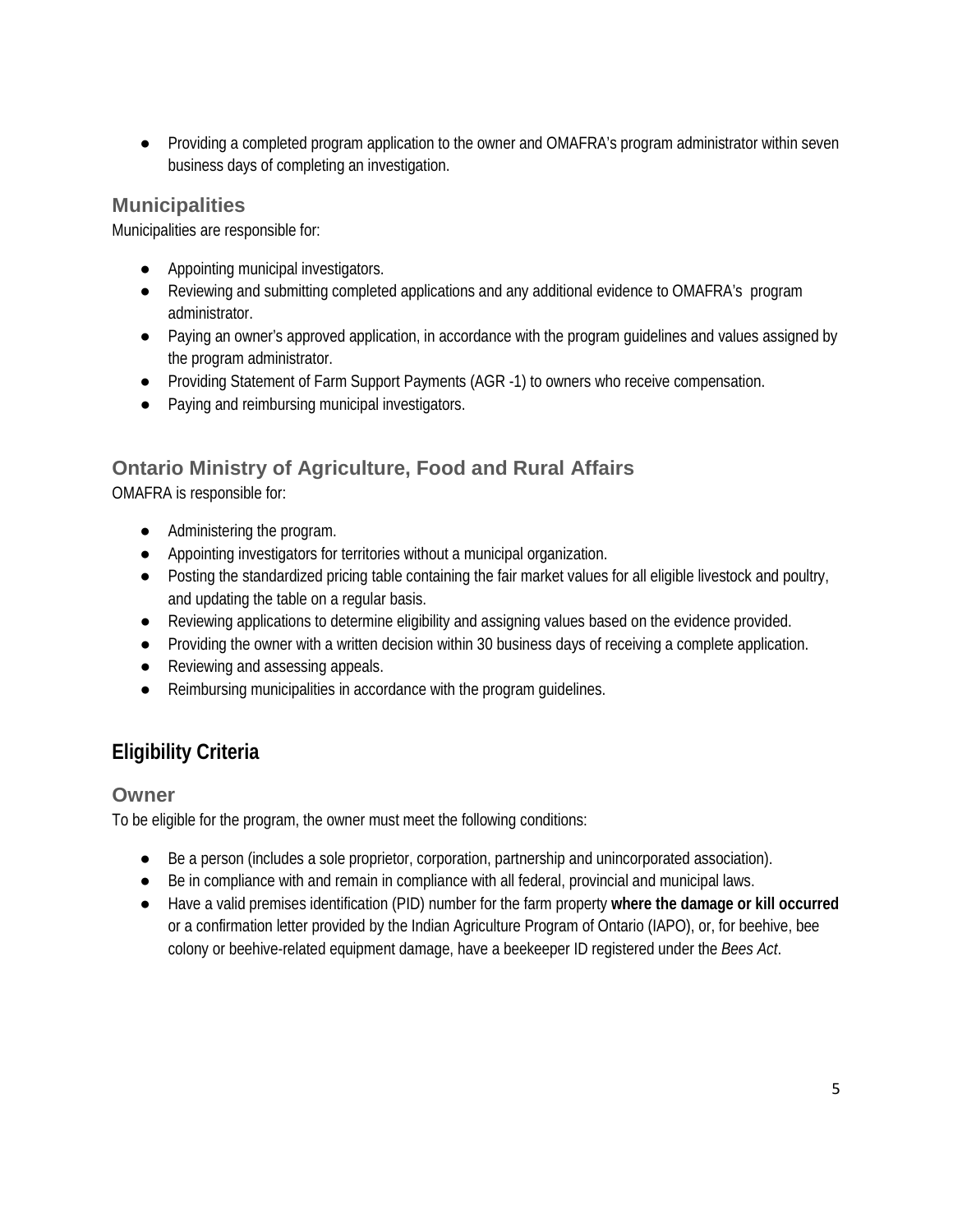● Providing a completed program application to the owner and OMAFRA's program administrator within seven business days of completing an investigation.

### <span id="page-4-0"></span>**Municipalities**

Municipalities are responsible for:

- Appointing municipal investigators.
- Reviewing and submitting completed applications and any additional evidence to OMAFRA's program administrator.
- Paying an owner's approved application, in accordance with the program guidelines and values assigned by the program administrator.
- Providing Statement of Farm Support Payments (AGR -1) to owners who receive compensation.
- Paying and reimbursing municipal investigators.

# <span id="page-4-1"></span>**Ontario Ministry of Agriculture, Food and Rural Affairs**

OMAFRA is responsible for:

- Administering the program.
- Appointing investigators for territories without a municipal organization.
- Posting the standardized pricing table containing the fair market values for all eligible livestock and poultry, and updating the table on a regular basis.
- Reviewing applications to determine eligibility and assigning values based on the evidence provided.
- Providing the owner with a written decision within 30 business days of receiving a complete application.
- Reviewing and assessing appeals.
- Reimbursing municipalities in accordance with the program quidelines.

# <span id="page-4-2"></span>**Eligibility Criteria**

### <span id="page-4-3"></span>**Owner**

To be eligible for the program, the owner must meet the following conditions:

- Be a person (includes a sole proprietor, corporation, partnership and unincorporated association).
- Be in compliance with and remain in compliance with all federal, provincial and municipal laws.
- Have a valid premises identification (PID) number for the farm property **where the damage or kill occurred** or a confirmation letter provided by the Indian Agriculture Program of Ontario (IAPO), or, for beehive, bee colony or beehive-related equipment damage, have a beekeeper ID registered under the *Bees Act*.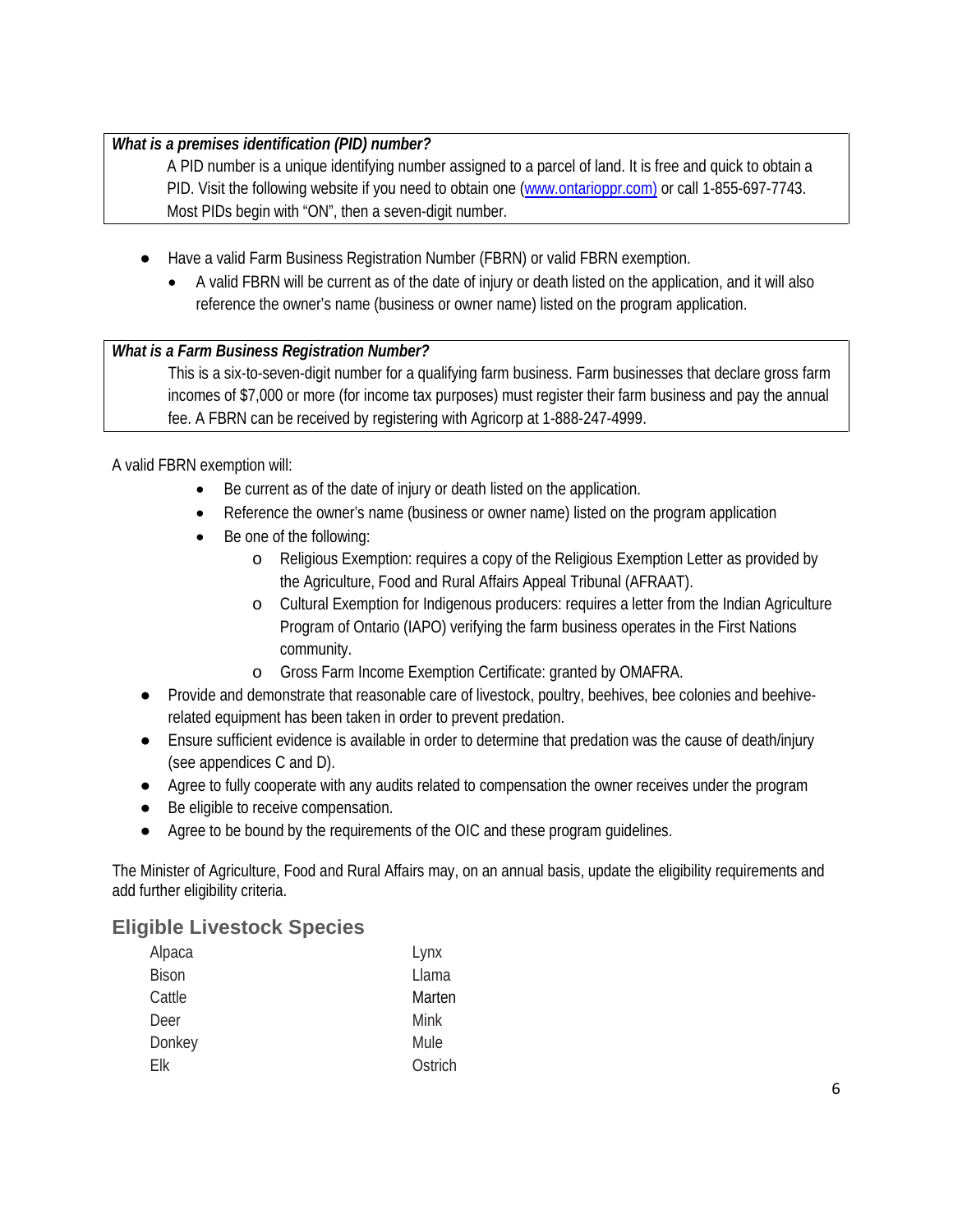#### *What is a premises identification (PID) number?*

A PID number is a unique identifying number assigned to a parcel of land. It is free and quick to obtain a PID. Visit the following website if you need to obtain one [\(www.ontarioppr.com\)](http://www.ontarioppr.com/) or call 1-855-697-7743. Most PIDs begin with "ON", then a seven-digit number.

- Have a valid Farm Business Registration Number (FBRN) or valid FBRN exemption.
	- A valid FBRN will be current as of the date of injury or death listed on the application, and it will also reference the owner's name (business or owner name) listed on the program application.

#### *What is a Farm Business Registration Number?*

This is a six-to-seven-digit number for a qualifying farm business. Farm businesses that declare gross farm incomes of \$7,000 or more (for income tax purposes) must register their farm business and pay the annual fee. A FBRN can be received by registering with Agricorp at 1-888-247-4999.

A valid FBRN exemption will:

- Be current as of the date of injury or death listed on the application.
- Reference the owner's name (business or owner name) listed on the program application
- Be one of the following:
	- o Religious Exemption: requires a copy of the Religious Exemption Letter as provided by the Agriculture, Food and Rural Affairs Appeal Tribunal (AFRAAT).
	- o Cultural Exemption for Indigenous producers: requires a letter from the Indian Agriculture Program of Ontario (IAPO) verifying the farm business operates in the First Nations community.
	- o Gross Farm Income Exemption Certificate: granted by OMAFRA.
- Provide and demonstrate that reasonable care of livestock, poultry, beehives, bee colonies and beehiverelated equipment has been taken in order to prevent predation.
- Ensure sufficient evidence is available in order to determine that predation was the cause of death/injury (see appendices C and D).
- Agree to fully cooperate with any audits related to compensation the owner receives under the program
- Be eligible to receive compensation.
- Agree to be bound by the requirements of the OIC and these program quidelines.

The Minister of Agriculture, Food and Rural Affairs may, on an annual basis, update the eligibility requirements and add further eligibility criteria.

#### <span id="page-5-0"></span>**Eligible Livestock Species**

| Alpaca       | Lynx    |
|--------------|---------|
| <b>Bison</b> | Llama   |
| Cattle       | Marten  |
| Deer         | Mink    |
| Donkey       | Mule    |
| Flk          | Ostrich |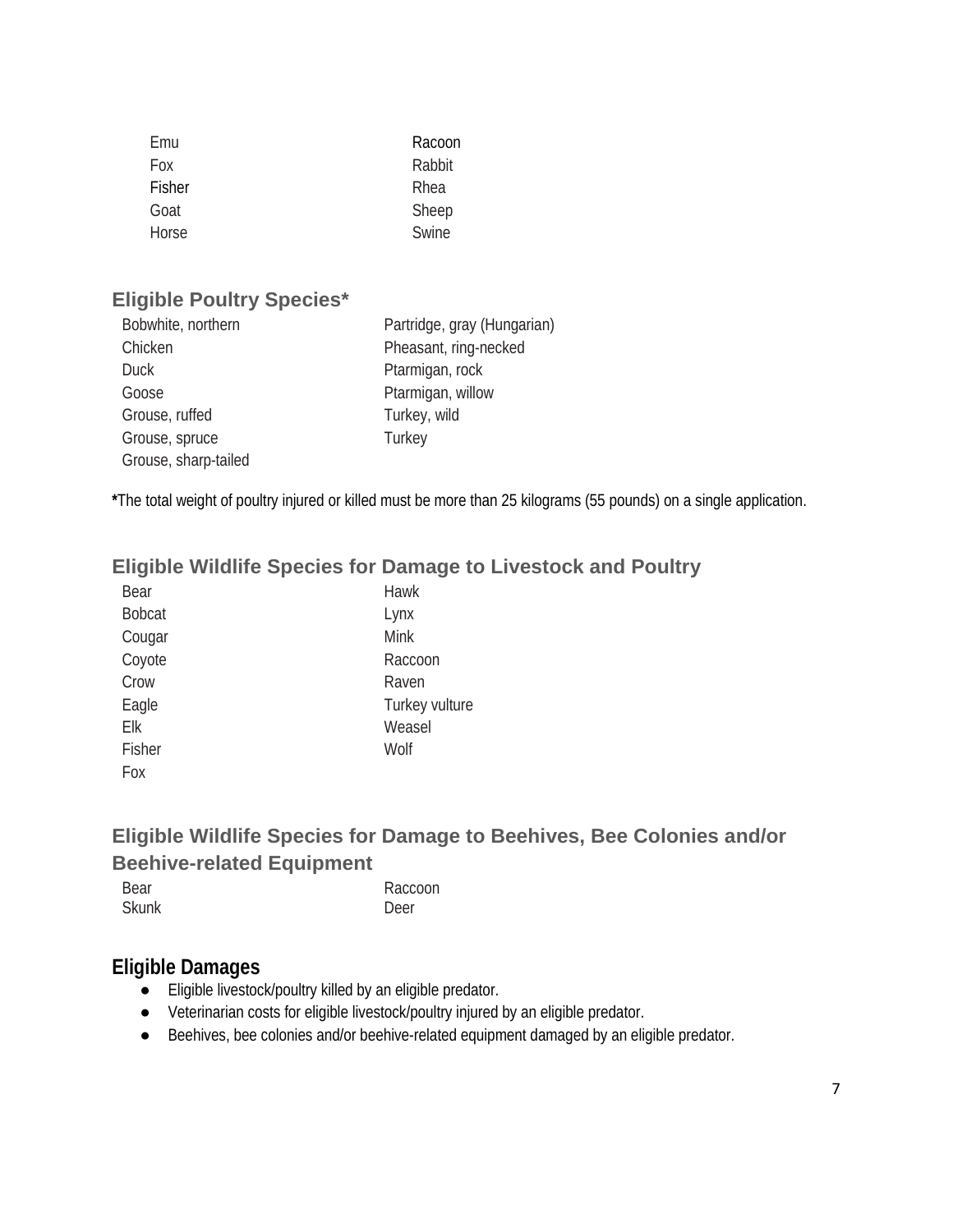| Emu        | Racoon |
|------------|--------|
| <b>Fox</b> | Rabbit |
| Fisher     | Rhea   |
| Goat       | Sheep  |
| Horse      | Swine  |

### <span id="page-6-0"></span>**Eligible Poultry Species\***

| Bobwhite, northern   | Partridge, gray (Hungarian) |
|----------------------|-----------------------------|
| Chicken              | Pheasant, ring-necked       |
| <b>Duck</b>          | Ptarmigan, rock             |
| Goose                | Ptarmigan, willow           |
| Grouse, ruffed       | Turkey, wild                |
| Grouse, spruce       | Turkey                      |
| Grouse, sharp-tailed |                             |

**\***The total weight of poultry injured or killed must be more than 25 kilograms (55 pounds) on a single application.

# <span id="page-6-1"></span>**Eligible Wildlife Species for Damage to Livestock and Poultry**

| Bear          | Hawk           |
|---------------|----------------|
| <b>Bobcat</b> | Lynx           |
| Cougar        | <b>Mink</b>    |
| Coyote        | Raccoon        |
| Crow          | Raven          |
| Eagle         | Turkey vulture |
| Elk           | Weasel         |
| Fisher        | Wolf           |
| Fox           |                |

# <span id="page-6-2"></span>**Eligible Wildlife Species for Damage to Beehives, Bee Colonies and/or Beehive-related Equipment**

| Bear         | Raccoon |
|--------------|---------|
| <b>Skunk</b> | Deer    |

### <span id="page-6-3"></span>**Eligible Damages**

- Eligible livestock/poultry killed by an eligible predator.
- Veterinarian costs for eligible livestock/poultry injured by an eligible predator.
- Beehives, bee colonies and/or beehive-related equipment damaged by an eligible predator.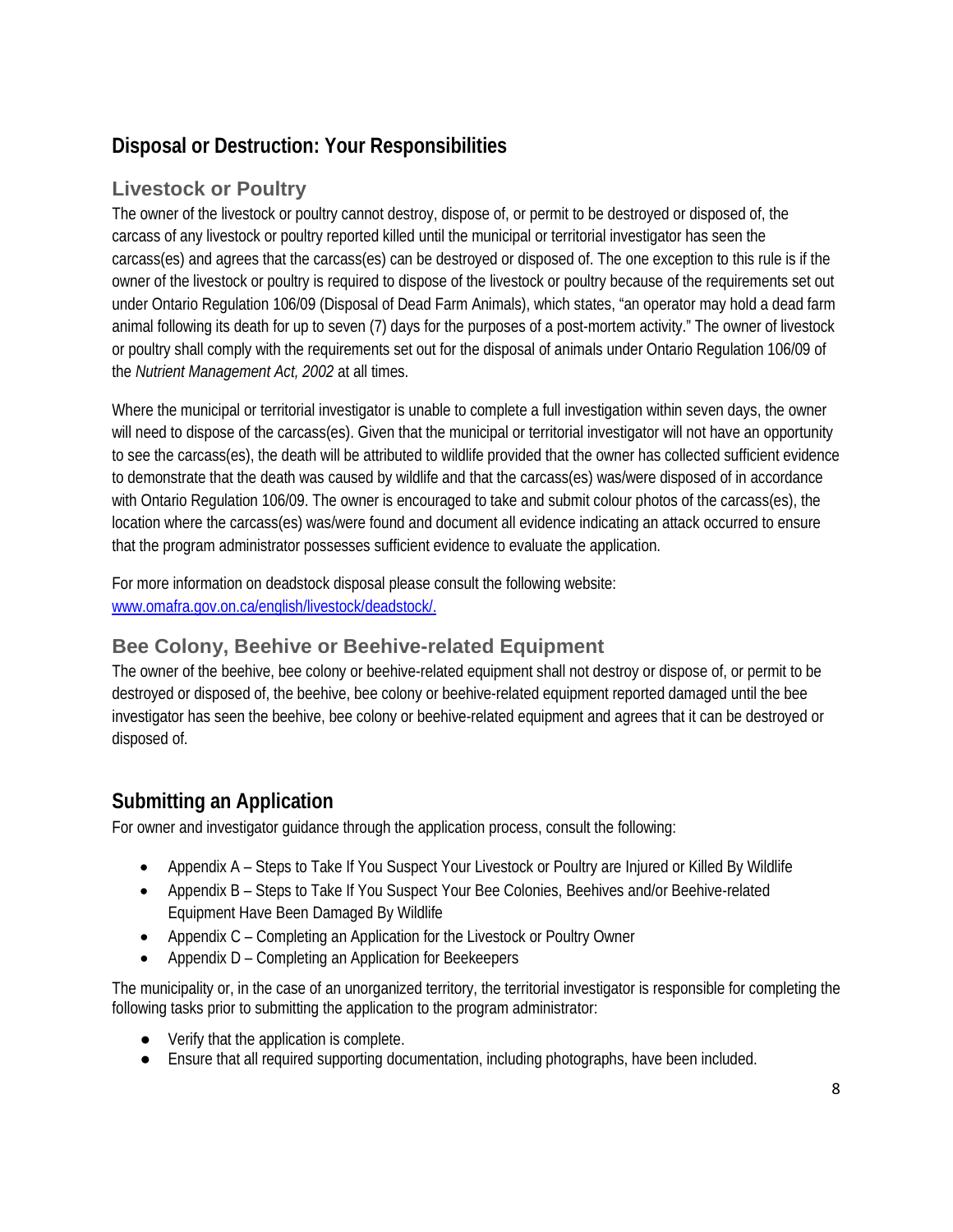# <span id="page-7-0"></span>**Disposal or Destruction: Your Responsibilities**

# **Livestock or Poultry**

The owner of the livestock or poultry cannot destroy, dispose of, or permit to be destroyed or disposed of, the carcass of any livestock or poultry reported killed until the municipal or territorial investigator has seen the carcass(es) and agrees that the carcass(es) can be destroyed or disposed of. The one exception to this rule is if the owner of the livestock or poultry is required to dispose of the livestock or poultry because of the requirements set out under Ontario Regulation 106/09 (Disposal of Dead Farm Animals), which states, "an operator may hold a dead farm animal following its death for up to seven (7) days for the purposes of a post-mortem activity." The owner of livestock or poultry shall comply with the requirements set out for the disposal of animals under Ontario Regulation 106/09 of the *Nutrient Management Act, 2002* at all times.

Where the municipal or territorial investigator is unable to complete a full investigation within seven days, the owner will need to dispose of the carcass(es). Given that the municipal or territorial investigator will not have an opportunity to see the carcass(es), the death will be attributed to wildlife provided that the owner has collected sufficient evidence to demonstrate that the death was caused by wildlife and that the carcass(es) was/were disposed of in accordance with Ontario Regulation 106/09. The owner is encouraged to take and submit colour photos of the carcass(es), the location where the carcass(es) was/were found and document all evidence indicating an attack occurred to ensure that the program administrator possesses sufficient evidence to evaluate the application.

For more information on deadstock disposal please consult the following website: [www.omafra.gov.on.ca/english/livestock/deadstock/.](http://www.omafra.gov.on.ca/english/livestock/deadstock/)

# **Bee Colony, Beehive or Beehive-related Equipment**

The owner of the beehive, bee colony or beehive-related equipment shall not destroy or dispose of, or permit to be destroyed or disposed of, the beehive, bee colony or beehive-related equipment reported damaged until the bee investigator has seen the beehive, bee colony or beehive-related equipment and agrees that it can be destroyed or disposed of.

# <span id="page-7-1"></span>**Submitting an Application**

For owner and investigator guidance through the application process, consult the following:

- Appendix A Steps to Take If You Suspect Your Livestock or Poultry are Injured or Killed By Wildlife
- Appendix B Steps to Take If You Suspect Your Bee Colonies, Beehives and/or Beehive-related Equipment Have Been Damaged By Wildlife
- Appendix C Completing an Application for the Livestock or Poultry Owner
- Appendix D Completing an Application for Beekeepers

The municipality or, in the case of an unorganized territory, the territorial investigator is responsible for completing the following tasks prior to submitting the application to the program administrator:

- Verify that the application is complete.
- Ensure that all required supporting documentation, including photographs, have been included.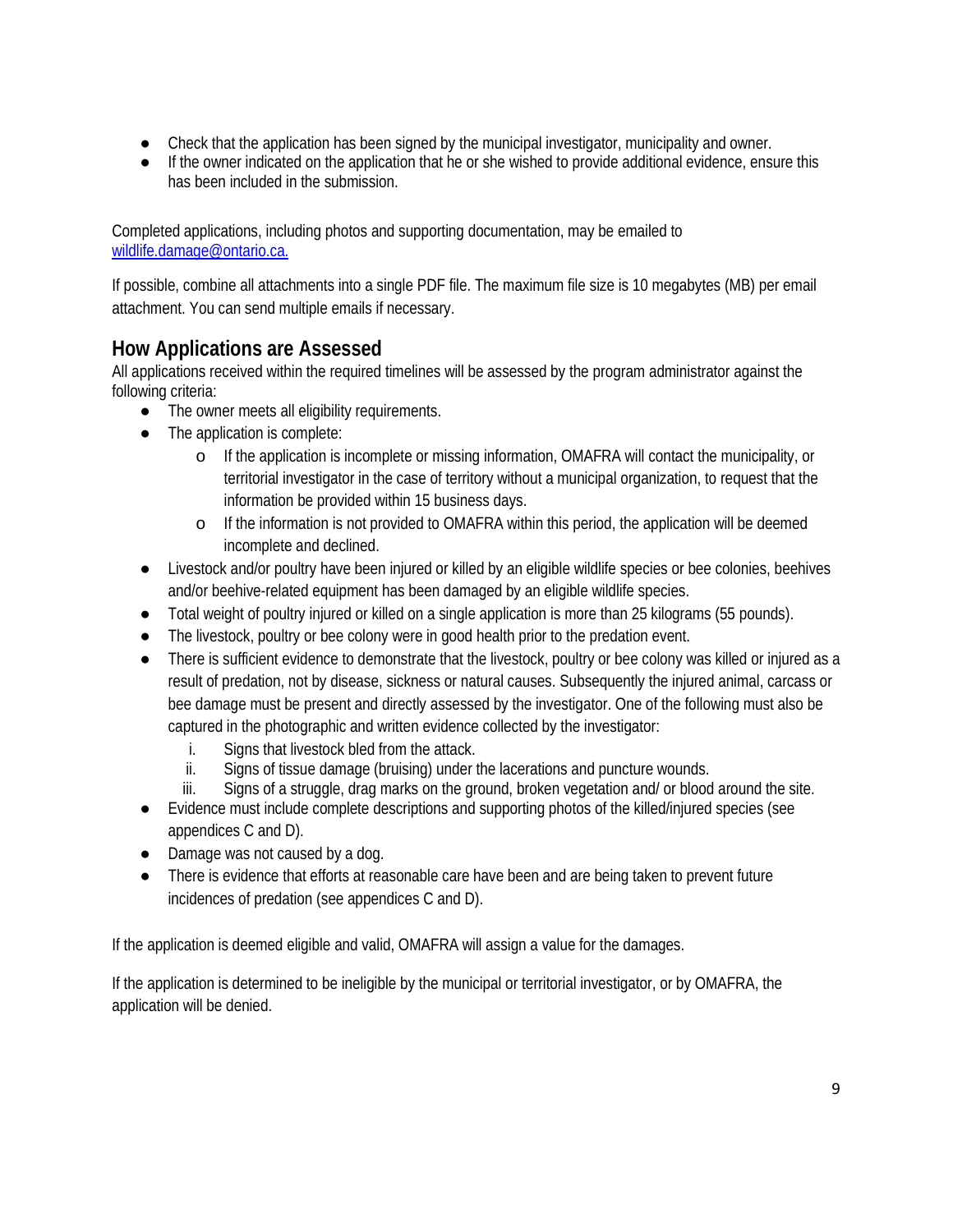- Check that the application has been signed by the municipal investigator, municipality and owner.
- If the owner indicated on the application that he or she wished to provide additional evidence, ensure this has been included in the submission.

Completed applications, including photos and supporting documentation, may be emailed to [wildlife.damage@ontario.ca.](mailto:wildlife.damage@ontario.ca)

If possible, combine all attachments into a single PDF file. The maximum file size is 10 megabytes (MB) per email attachment. You can send multiple emails if necessary.

# <span id="page-8-0"></span>**How Applications are Assessed**

All applications received within the required timelines will be assessed by the program administrator against the following criteria:

- The owner meets all eligibility requirements.
- The application is complete:
	- o If the application is incomplete or missing information, OMAFRA will contact the municipality, or territorial investigator in the case of territory without a municipal organization, to request that the information be provided within 15 business days.
	- o If the information is not provided to OMAFRA within this period, the application will be deemed incomplete and declined.
- Livestock and/or poultry have been injured or killed by an eligible wildlife species or bee colonies, beehives and/or beehive-related equipment has been damaged by an eligible wildlife species.
- Total weight of poultry injured or killed on a single application is more than 25 kilograms (55 pounds).
- The livestock, poultry or bee colony were in good health prior to the predation event.
- There is sufficient evidence to demonstrate that the livestock, poultry or bee colony was killed or injured as a result of predation, not by disease, sickness or natural causes. Subsequently the injured animal, carcass or bee damage must be present and directly assessed by the investigator. One of the following must also be captured in the photographic and written evidence collected by the investigator:
	- i. Signs that livestock bled from the attack.
	- ii. Signs of tissue damage (bruising) under the lacerations and puncture wounds.
	- iii. Signs of a struggle, drag marks on the ground, broken vegetation and/ or blood around the site.
- Evidence must include complete descriptions and supporting photos of the killed/injured species (see appendices C and D).
- Damage was not caused by a dog.
- There is evidence that efforts at reasonable care have been and are being taken to prevent future incidences of predation (see appendices C and D).

If the application is deemed eligible and valid, OMAFRA will assign a value for the damages.

If the application is determined to be ineligible by the municipal or territorial investigator, or by OMAFRA, the application will be denied.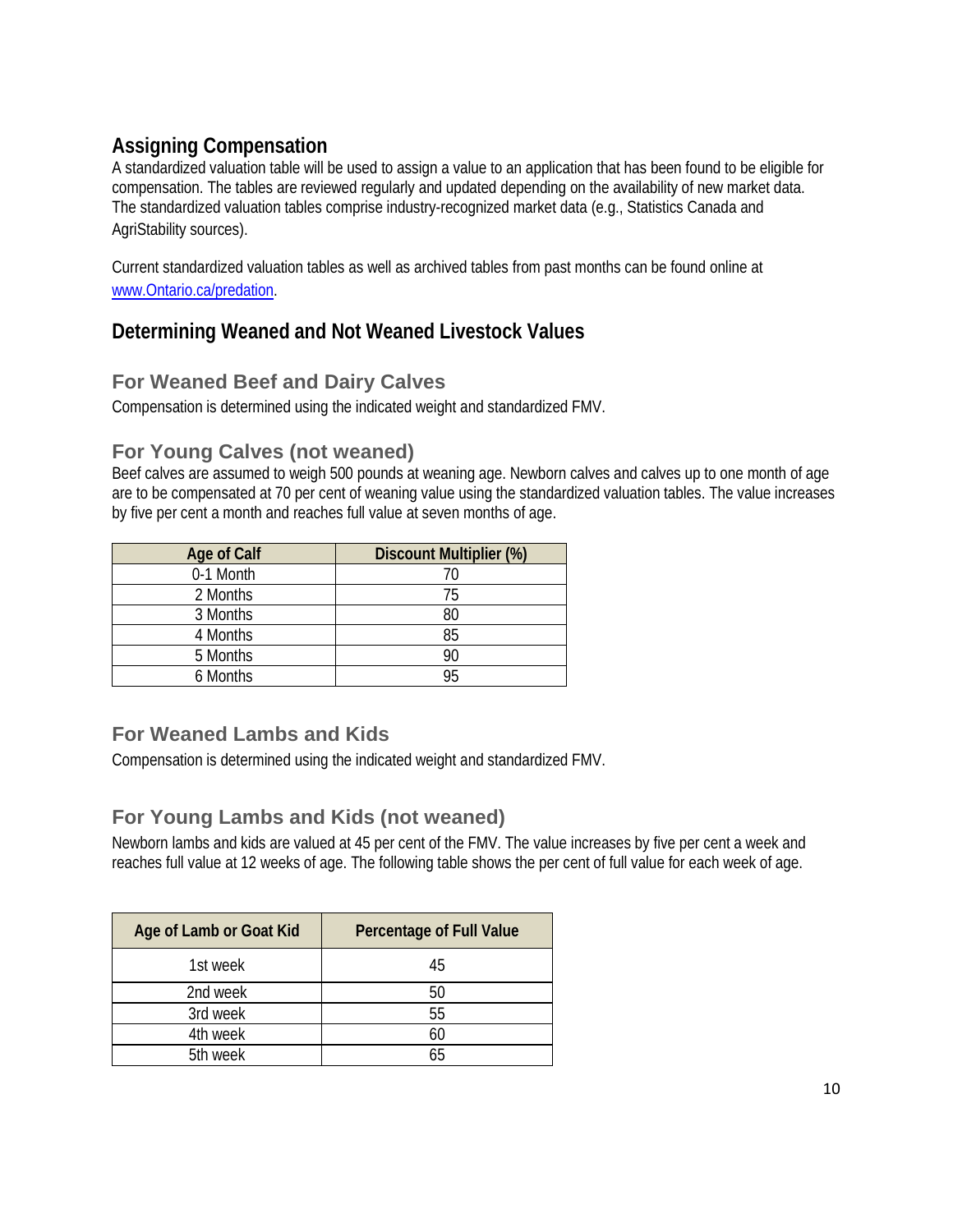# <span id="page-9-0"></span>**Assigning Compensation**

A standardized valuation table will be used to assign a value to an application that has been found to be eligible for compensation. The tables are reviewed regularly and updated depending on the availability of new market data. The standardized valuation tables comprise industry-recognized market data (e.g., Statistics Canada and AgriStability sources).

Current standardized valuation tables as well as archived tables from past months can be found online at [www.Ontario.ca/predation.](http://www.ontario.ca/predation)

# <span id="page-9-1"></span>**Determining Weaned and Not Weaned Livestock Values**

## **For Weaned Beef and Dairy Calves**

Compensation is determined using the indicated weight and standardized FMV.

## **For Young Calves (not weaned)**

Beef calves are assumed to weigh 500 pounds at weaning age. Newborn calves and calves up to one month of age are to be compensated at 70 per cent of weaning value using the standardized valuation tables. The value increases by five per cent a month and reaches full value at seven months of age.

| Age of Calf | <b>Discount Multiplier (%)</b> |
|-------------|--------------------------------|
| 0-1 Month   | 70                             |
| 2 Months    | 75                             |
| 3 Months    | 80                             |
| 4 Months    | 85                             |
| 5 Months    | 90                             |
| 6 Months    | 95                             |

## **For Weaned Lambs and Kids**

Compensation is determined using the indicated weight and standardized FMV.

### **For Young Lambs and Kids (not weaned)**

Newborn lambs and kids are valued at 45 per cent of the FMV. The value increases by five per cent a week and reaches full value at 12 weeks of age. The following table shows the per cent of full value for each week of age.

| Age of Lamb or Goat Kid | Percentage of Full Value |
|-------------------------|--------------------------|
| 1st week                | 45                       |
| 2nd week                | 50                       |
| 3rd week                | 55                       |
| 4th week                |                          |
| 5th week                |                          |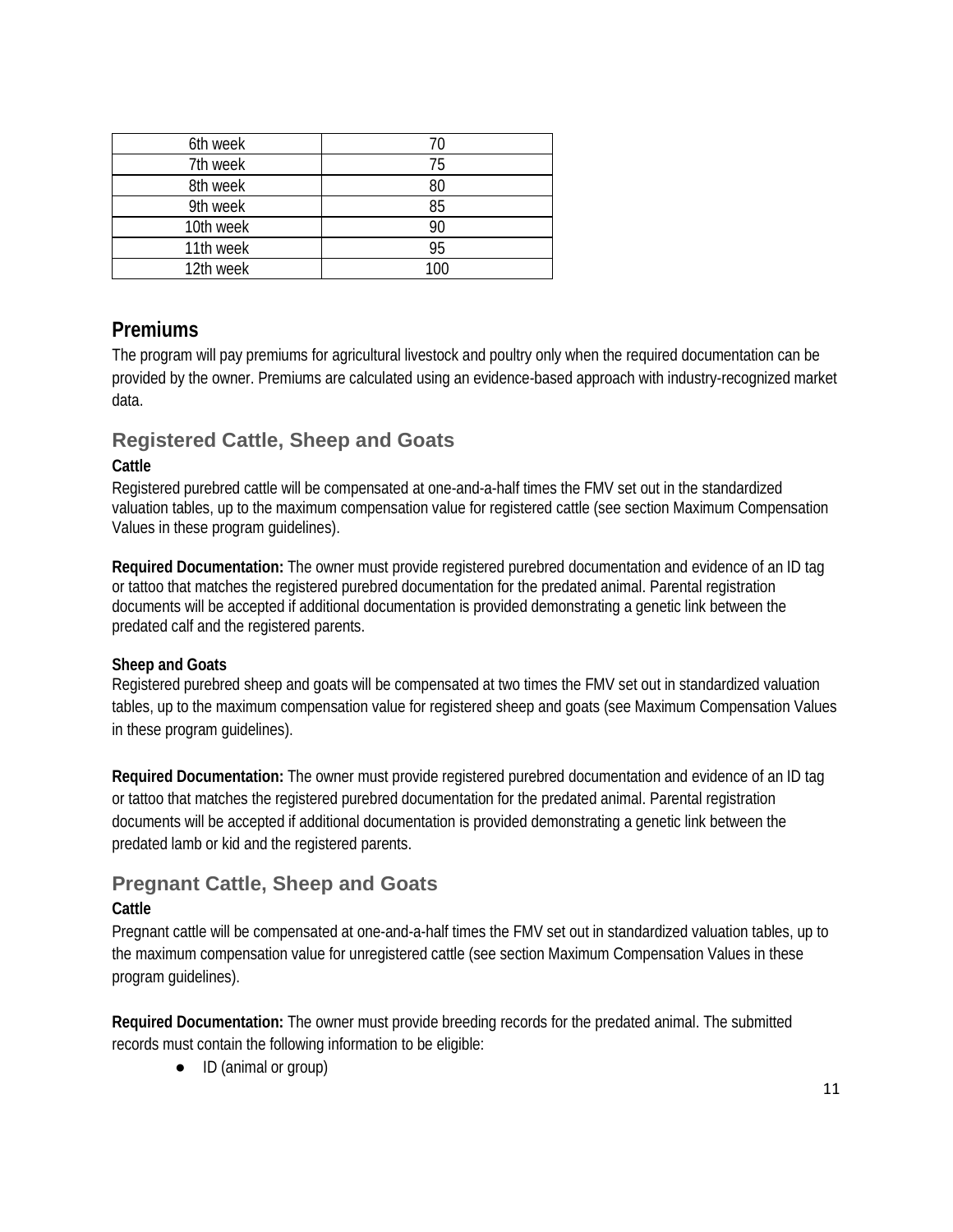| 6th week  |     |
|-----------|-----|
| 7th week  | 75  |
| 8th week  | 80  |
| 9th week  | 85  |
| 10th week | 90  |
| 11th week | 95  |
| 12th week | 100 |

### <span id="page-10-0"></span>**Premiums**

The program will pay premiums for agricultural livestock and poultry only when the required documentation can be provided by the owner. Premiums are calculated using an evidence-based approach with industry-recognized market data.

## **Registered Cattle, Sheep and Goats**

#### **Cattle**

Registered purebred cattle will be compensated at one-and-a-half times the FMV set out in the standardized valuation tables, up to the maximum compensation value for registered cattle (see section Maximum Compensation Values in these program guidelines).

**Required Documentation:** The owner must provide registered purebred documentation and evidence of an ID tag or tattoo that matches the registered purebred documentation for the predated animal. Parental registration documents will be accepted if additional documentation is provided demonstrating a genetic link between the predated calf and the registered parents.

#### **Sheep and Goats**

Registered purebred sheep and goats will be compensated at two times the FMV set out in standardized valuation tables, up to the maximum compensation value for registered sheep and goats (see Maximum Compensation Values in these program guidelines).

**Required Documentation:** The owner must provide registered purebred documentation and evidence of an ID tag or tattoo that matches the registered purebred documentation for the predated animal. Parental registration documents will be accepted if additional documentation is provided demonstrating a genetic link between the predated lamb or kid and the registered parents.

# **Pregnant Cattle, Sheep and Goats**

#### **Cattle**

Pregnant cattle will be compensated at one-and-a-half times the FMV set out in standardized valuation tables, up to the maximum compensation value for unregistered cattle (see section Maximum Compensation Values in these program guidelines).

**Required Documentation:** The owner must provide breeding records for the predated animal. The submitted records must contain the following information to be eligible:

● ID (animal or group)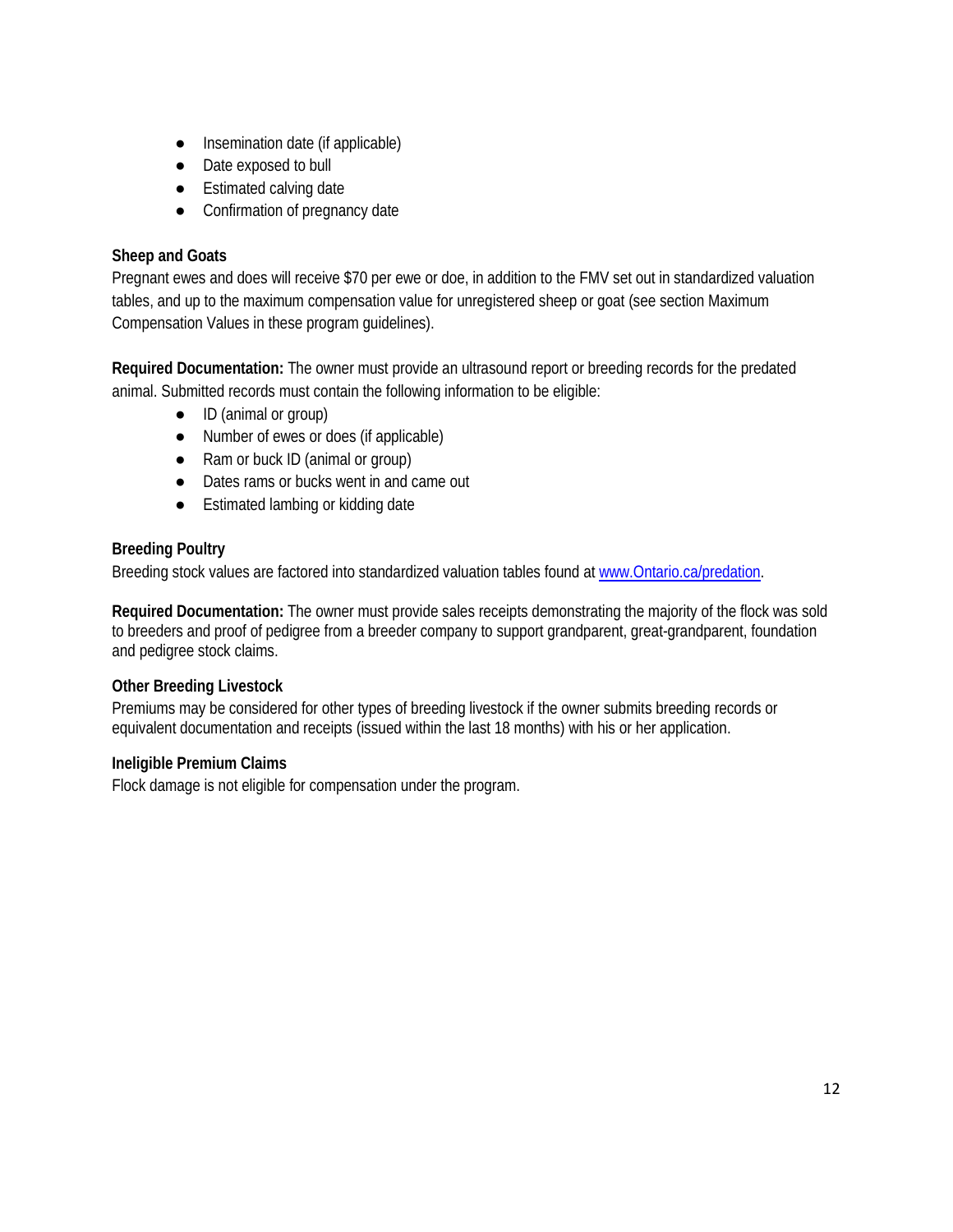- Insemination date (if applicable)
- Date exposed to bull
- Estimated calving date
- Confirmation of pregnancy date

#### **Sheep and Goats**

Pregnant ewes and does will receive \$70 per ewe or doe, in addition to the FMV set out in standardized valuation tables, and up to the maximum compensation value for unregistered sheep or goat (see section Maximum Compensation Values in these program guidelines).

**Required Documentation:** The owner must provide an ultrasound report or breeding records for the predated animal. Submitted records must contain the following information to be eligible:

- ID (animal or group)
- Number of ewes or does (if applicable)
- Ram or buck ID (animal or group)
- Dates rams or bucks went in and came out
- Estimated lambing or kidding date

#### **Breeding Poultry**

Breeding stock values are factored into standardized valuation tables found at [www.Ontario.ca/predation.](http://www.ontario.ca/predation)

**Required Documentation:** The owner must provide sales receipts demonstrating the majority of the flock was sold to breeders and proof of pedigree from a breeder company to support grandparent, great-grandparent, foundation and pedigree stock claims.

#### **Other Breeding Livestock**

Premiums may be considered for other types of breeding livestock if the owner submits breeding records or equivalent documentation and receipts (issued within the last 18 months) with his or her application.

#### <span id="page-11-0"></span>**Ineligible Premium Claims**

<span id="page-11-1"></span>Flock damage is not eligible for compensation under the program.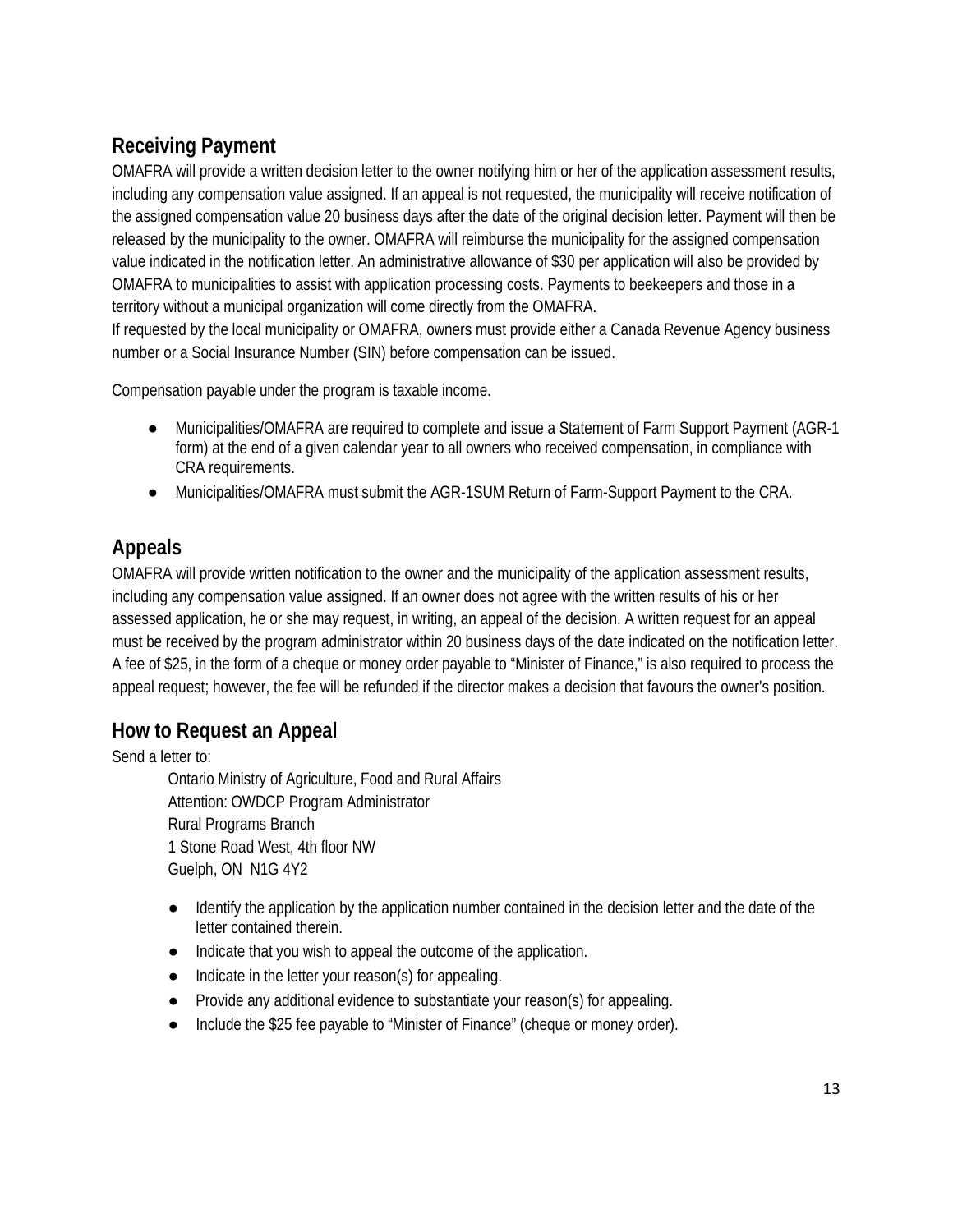# **Receiving Payment**

OMAFRA will provide a written decision letter to the owner notifying him or her of the application assessment results, including any compensation value assigned. If an appeal is not requested, the municipality will receive notification of the assigned compensation value 20 business days after the date of the original decision letter. Payment will then be released by the municipality to the owner. OMAFRA will reimburse the municipality for the assigned compensation value indicated in the notification letter. An administrative allowance of \$30 per application will also be provided by OMAFRA to municipalities to assist with application processing costs. Payments to beekeepers and those in a territory without a municipal organization will come directly from the OMAFRA.

If requested by the local municipality or OMAFRA, owners must provide either a Canada Revenue Agency business number or a Social Insurance Number (SIN) before compensation can be issued.

Compensation payable under the program is taxable income.

- Municipalities/OMAFRA are required to complete and issue a Statement of Farm Support Payment (AGR-1 form) at the end of a given calendar year to all owners who received compensation, in compliance with CRA requirements.
- Municipalities/OMAFRA must submit the AGR-1SUM Return of Farm-Support Payment to the CRA.

# <span id="page-12-0"></span>**Appeals**

OMAFRA will provide written notification to the owner and the municipality of the application assessment results, including any compensation value assigned. If an owner does not agree with the written results of his or her assessed application, he or she may request, in writing, an appeal of the decision. A written request for an appeal must be received by the program administrator within 20 business days of the date indicated on the notification letter. A fee of \$25, in the form of a cheque or money order payable to "Minister of Finance," is also required to process the appeal request; however, the fee will be refunded if the director makes a decision that favours the owner's position.

# **How to Request an Appeal**

Send a letter to:

Ontario Ministry of Agriculture, Food and Rural Affairs Attention: OWDCP Program Administrator Rural Programs Branch 1 Stone Road West, 4th floor NW Guelph, ON N1G 4Y2

- Identify the application by the application number contained in the decision letter and the date of the letter contained therein.
- Indicate that you wish to appeal the outcome of the application.
- Indicate in the letter your reason(s) for appealing.
- Provide any additional evidence to substantiate your reason(s) for appealing.
- Include the \$25 fee payable to "Minister of Finance" (cheque or money order).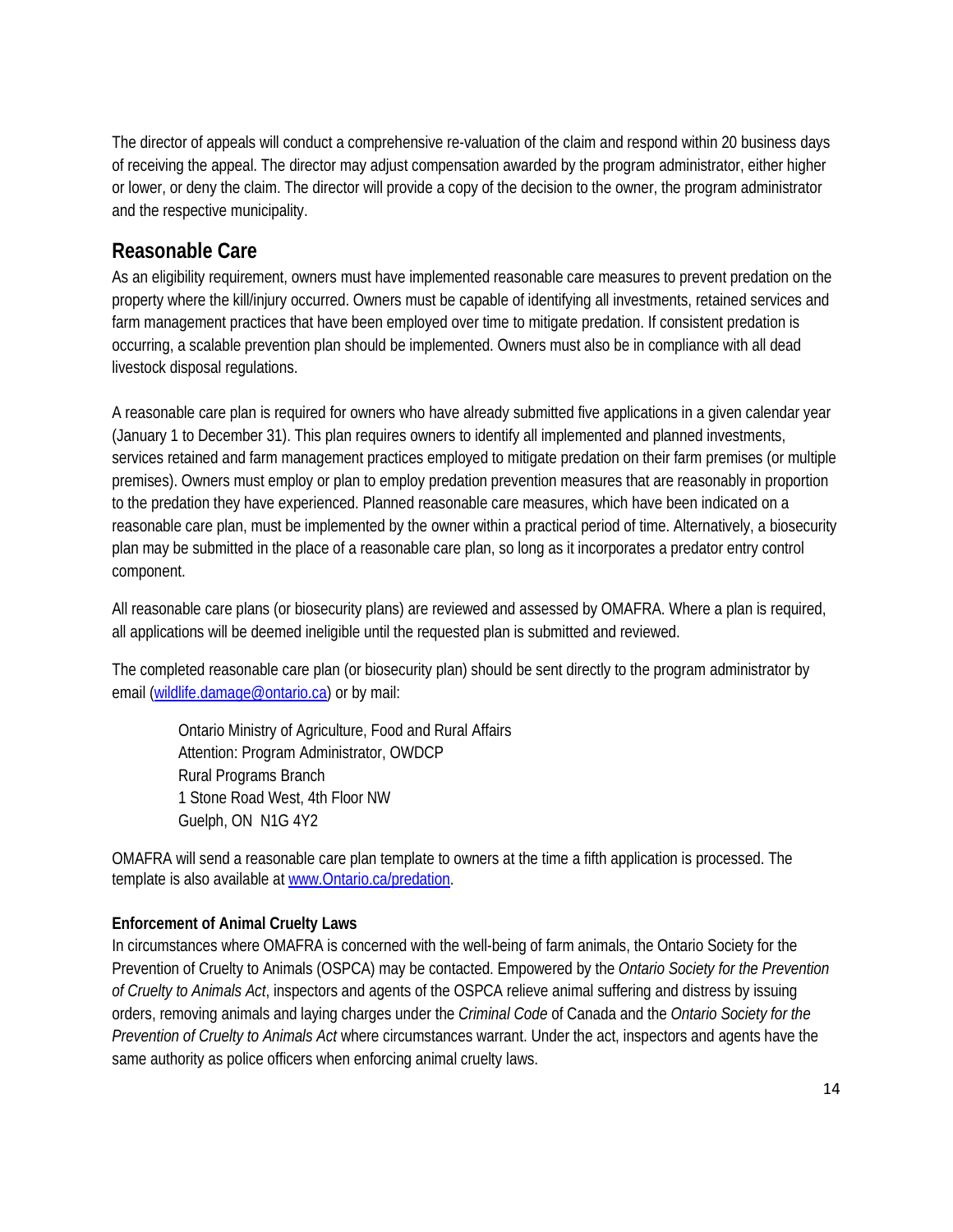The director of appeals will conduct a comprehensive re-valuation of the claim and respond within 20 business days of receiving the appeal. The director may adjust compensation awarded by the program administrator, either higher or lower, or deny the claim. The director will provide a copy of the decision to the owner, the program administrator and the respective municipality.

# <span id="page-13-0"></span>**Reasonable Care**

As an eligibility requirement, owners must have implemented reasonable care measures to prevent predation on the property where the kill/injury occurred. Owners must be capable of identifying all investments, retained services and farm management practices that have been employed over time to mitigate predation. If consistent predation is occurring, a scalable prevention plan should be implemented. Owners must also be in compliance with all dead livestock disposal regulations.

A reasonable care plan is required for owners who have already submitted five applications in a given calendar year (January 1 to December 31). This plan requires owners to identify all implemented and planned investments, services retained and farm management practices employed to mitigate predation on their farm premises (or multiple premises). Owners must employ or plan to employ predation prevention measures that are reasonably in proportion to the predation they have experienced. Planned reasonable care measures, which have been indicated on a reasonable care plan, must be implemented by the owner within a practical period of time. Alternatively, a biosecurity plan may be submitted in the place of a reasonable care plan, so long as it incorporates a predator entry control component.

All reasonable care plans (or biosecurity plans) are reviewed and assessed by OMAFRA. Where a plan is required, all applications will be deemed ineligible until the requested plan is submitted and reviewed.

The completed reasonable care plan (or biosecurity plan) should be sent directly to the program administrator by email [\(wildlife.damage@ontario.ca\)](mailto:wildlife.damage@ontario.ca) or by mail:

Ontario Ministry of Agriculture, Food and Rural Affairs Attention: Program Administrator, OWDCP Rural Programs Branch 1 Stone Road West, 4th Floor NW Guelph, ON N1G 4Y2

OMAFRA will send a reasonable care plan template to owners at the time a fifth application is processed. The template is also available at [www.Ontario.ca/predation.](http://www.ontario.ca/predation)

#### **Enforcement of Animal Cruelty Laws**

In circumstances where OMAFRA is concerned with the well-being of farm animals, the Ontario Society for the Prevention of Cruelty to Animals (OSPCA) may be contacted. Empowered by the *Ontario Society for the Prevention of Cruelty to Animals Act*, inspectors and agents of the OSPCA relieve animal suffering and distress by issuing orders, removing animals and laying charges under the *Criminal Code* of Canada and the *Ontario Society for the Prevention of Cruelty to Animals Act* where circumstances warrant. Under the act, inspectors and agents have the same authority as police officers when enforcing animal cruelty laws.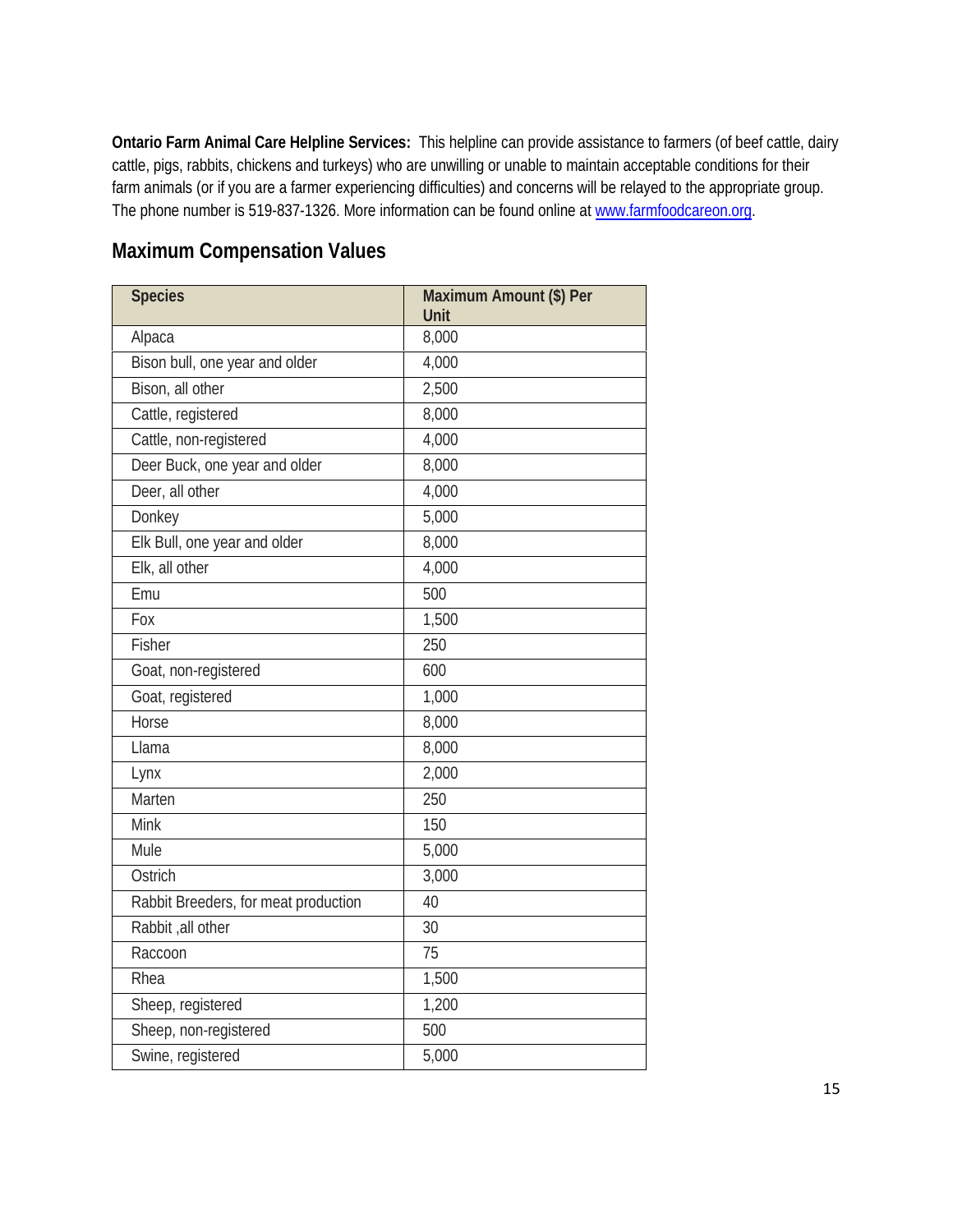**Ontario Farm Animal Care Helpline Services:**This helpline can provide assistance to farmers (of beef cattle, dairy cattle, pigs, rabbits, chickens and turkeys) who are unwilling or unable to maintain acceptable conditions for their farm animals (or if you are a farmer experiencing difficulties) and concerns will be relayed to the appropriate group. The phone number is 519-837-1326. More information can be found online a[t www.farmfoodcareon.org.](http://www.farmfoodcareon.org/)

# <span id="page-14-0"></span>**Maximum Compensation Values**

| <b>Species</b>                       | Maximum Amount (\$) Per<br>Unit |
|--------------------------------------|---------------------------------|
| Alpaca                               | 8,000                           |
| Bison bull, one year and older       | 4,000                           |
| Bison, all other                     | 2,500                           |
| Cattle, registered                   | 8,000                           |
| Cattle, non-registered               | 4,000                           |
| Deer Buck, one year and older        | 8,000                           |
| Deer, all other                      | 4,000                           |
| Donkey                               | 5,000                           |
| Elk Bull, one year and older         | 8,000                           |
| Elk, all other                       | 4,000                           |
| Emu                                  | 500                             |
| Fox                                  | 1,500                           |
| Fisher                               | 250                             |
| Goat, non-registered                 | 600                             |
| Goat, registered                     | 1,000                           |
| Horse                                | 8,000                           |
| Llama                                | 8,000                           |
| Lynx                                 | 2,000                           |
| Marten                               | 250                             |
| Mink                                 | 150                             |
| Mule                                 | 5,000                           |
| Ostrich                              | 3,000                           |
| Rabbit Breeders, for meat production | 40                              |
| Rabbit, all other                    | 30                              |
| Raccoon                              | 75                              |
| Rhea                                 | 1,500                           |
| Sheep, registered                    | 1,200                           |
| Sheep, non-registered                | 500                             |
| Swine, registered                    | 5,000                           |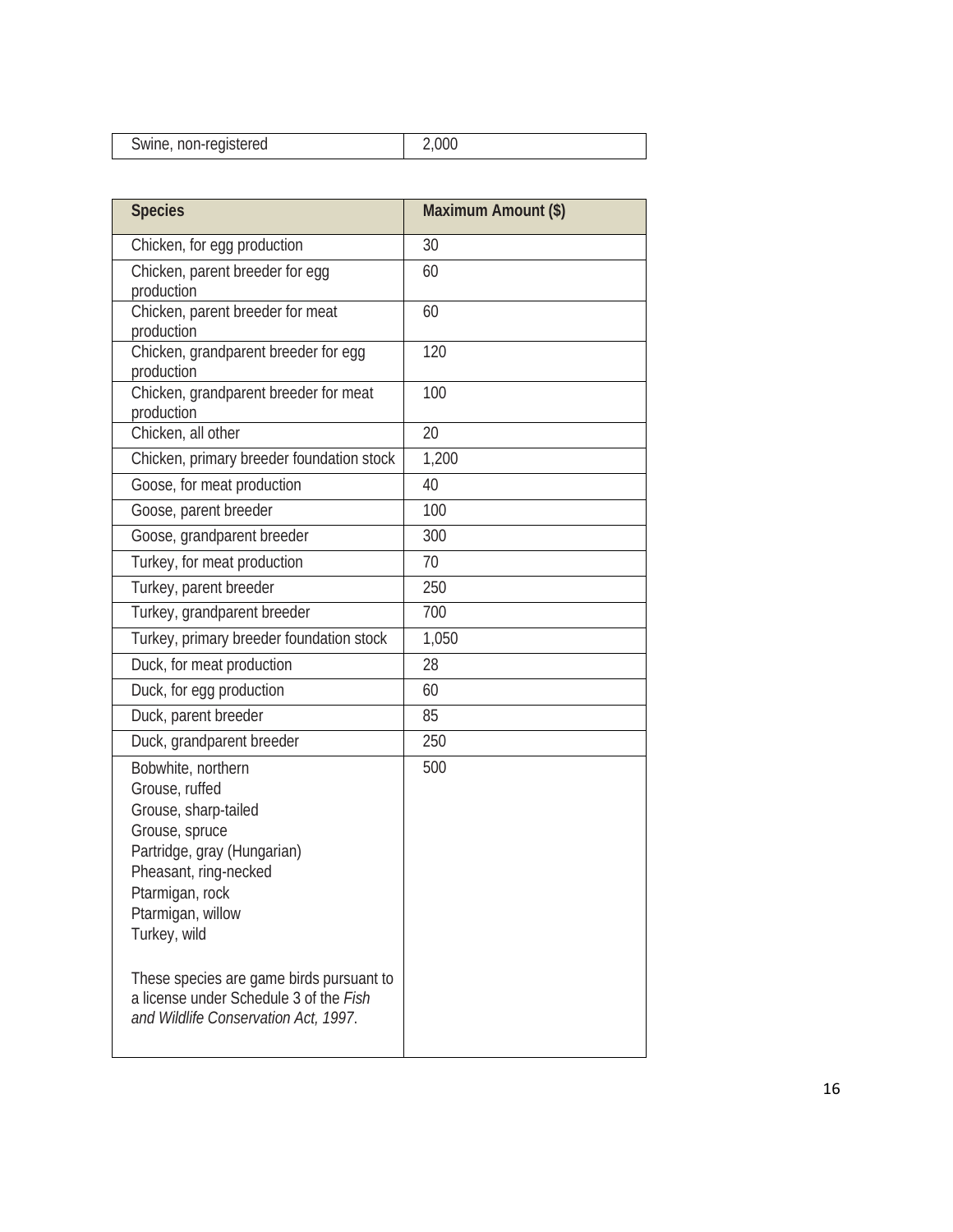| Swine, non-registered |  |
|-----------------------|--|
|                       |  |

| <b>Species</b>                                                                                                                                                                                                                                                                       | Maximum Amount (\$) |
|--------------------------------------------------------------------------------------------------------------------------------------------------------------------------------------------------------------------------------------------------------------------------------------|---------------------|
| Chicken, for egg production                                                                                                                                                                                                                                                          | 30                  |
| Chicken, parent breeder for egg<br>production                                                                                                                                                                                                                                        | 60                  |
| Chicken, parent breeder for meat<br>production                                                                                                                                                                                                                                       | 60                  |
| Chicken, grandparent breeder for egg<br>production                                                                                                                                                                                                                                   | 120                 |
| Chicken, grandparent breeder for meat<br>production                                                                                                                                                                                                                                  | 100                 |
| Chicken, all other                                                                                                                                                                                                                                                                   | 20                  |
| Chicken, primary breeder foundation stock                                                                                                                                                                                                                                            | 1,200               |
| Goose, for meat production                                                                                                                                                                                                                                                           | 40                  |
| Goose, parent breeder                                                                                                                                                                                                                                                                | 100                 |
| Goose, grandparent breeder                                                                                                                                                                                                                                                           | 300                 |
| Turkey, for meat production                                                                                                                                                                                                                                                          | 70                  |
| Turkey, parent breeder                                                                                                                                                                                                                                                               | 250                 |
| Turkey, grandparent breeder                                                                                                                                                                                                                                                          | 700                 |
| Turkey, primary breeder foundation stock                                                                                                                                                                                                                                             | 1,050               |
| Duck, for meat production                                                                                                                                                                                                                                                            | 28                  |
| Duck, for egg production                                                                                                                                                                                                                                                             | 60                  |
| Duck, parent breeder                                                                                                                                                                                                                                                                 | 85                  |
| Duck, grandparent breeder                                                                                                                                                                                                                                                            | 250                 |
| Bobwhite, northern<br>Grouse, ruffed<br>Grouse, sharp-tailed<br>Grouse, spruce<br>Partridge, gray (Hungarian)<br>Pheasant, ring-necked<br>Ptarmigan, rock<br>Ptarmigan, willow<br>Turkey, wild<br>These species are game birds pursuant to<br>a license under Schedule 3 of the Fish | 500                 |
| and Wildlife Conservation Act, 1997.                                                                                                                                                                                                                                                 |                     |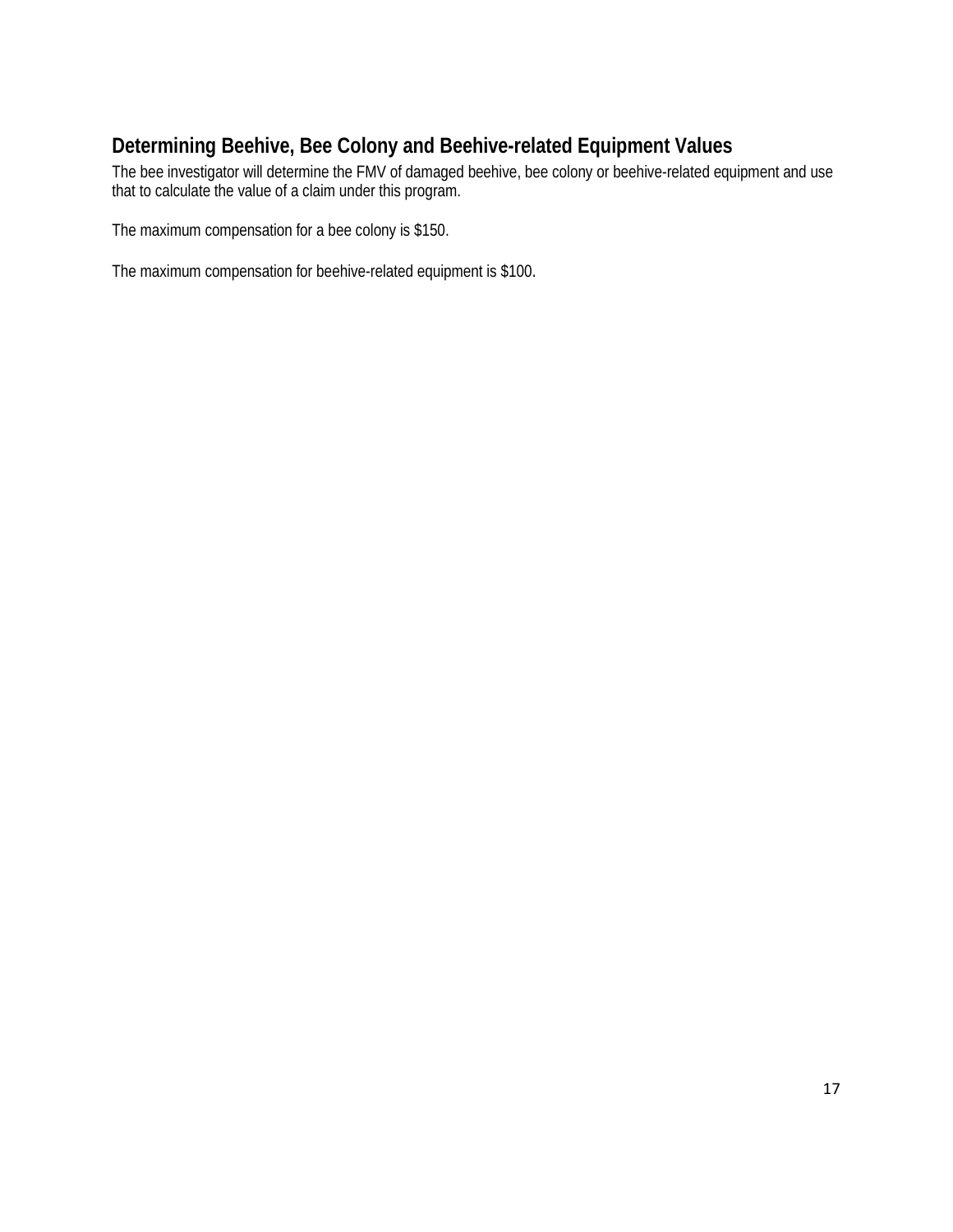# <span id="page-16-0"></span>**Determining Beehive, Bee Colony and Beehive-related Equipment Values**

The bee investigator will determine the FMV of damaged beehive, bee colony or beehive-related equipment and use that to calculate the value of a claim under this program.

The maximum compensation for a bee colony is \$150.

The maximum compensation for beehive-related equipment is \$100.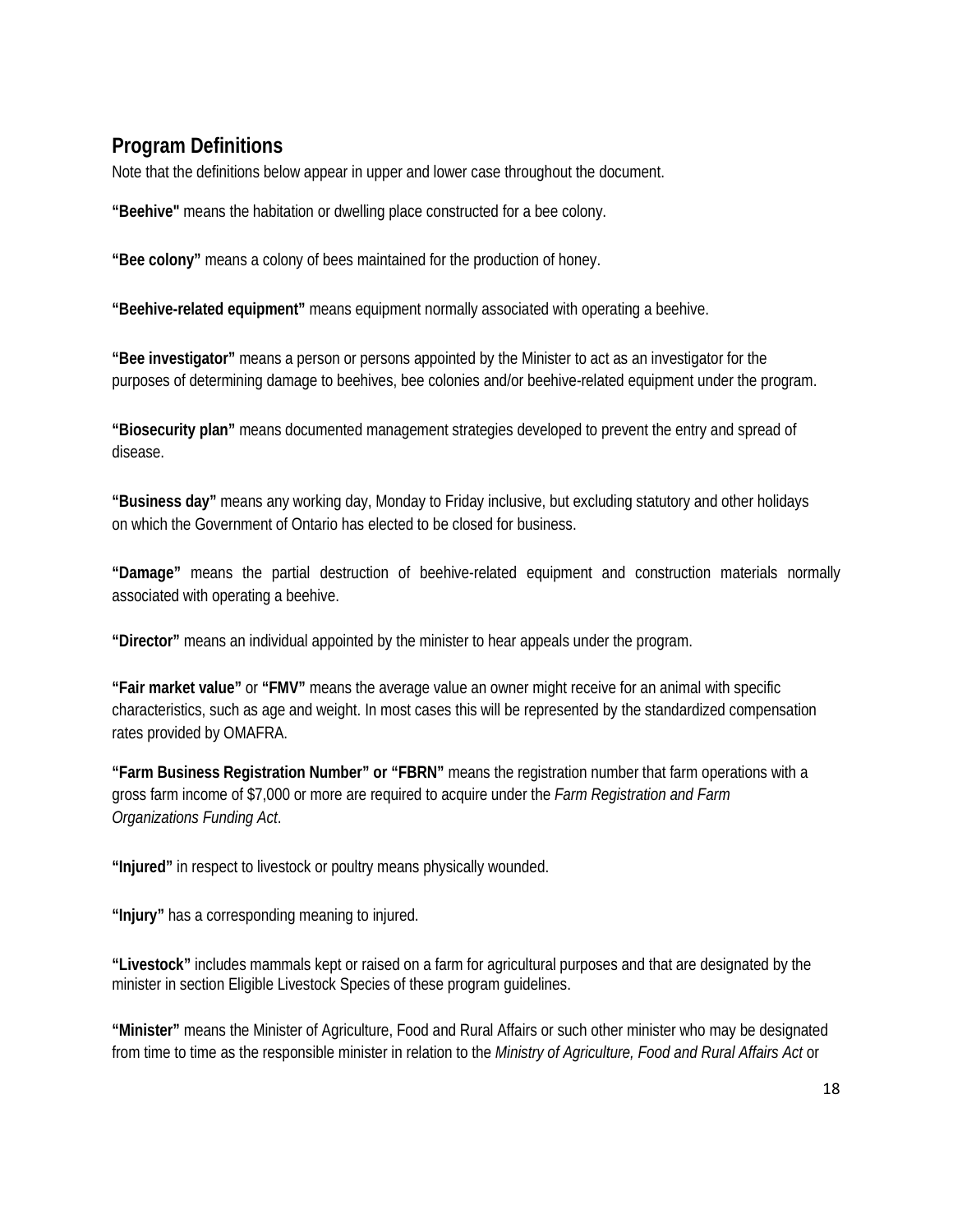# <span id="page-17-0"></span>**Program Definitions**

Note that the definitions below appear in upper and lower case throughout the document.

**"Beehive"** means the habitation or dwelling place constructed for a bee colony.

**"Bee colony"** means a colony of bees maintained for the production of honey.

**"Beehive-related equipment"** means equipment normally associated with operating a beehive.

**"Bee investigator"** means a person or persons appointed by the Minister to act as an investigator for the purposes of determining damage to beehives, bee colonies and/or beehive-related equipment under the program.

**"Biosecurity plan"** means documented management strategies developed to prevent the entry and spread of disease.

**"Business day"** means any working day, Monday to Friday inclusive, but excluding statutory and other holidays on which the Government of Ontario has elected to be closed for business.

**"Damage"** means the partial destruction of beehive-related equipment and construction materials normally associated with operating a beehive.

**"Director"** means an individual appointed by the minister to hear appeals under the program.

**"Fair market value"** or **"FMV"** means the average value an owner might receive for an animal with specific characteristics, such as age and weight. In most cases this will be represented by the standardized compensation rates provided by OMAFRA.

**"Farm Business Registration Number" or "FBRN"** means the registration number that farm operations with a gross farm income of \$7,000 or more are required to acquire under the *Farm Registration and Farm Organizations Funding Act*.

**"Injured"** in respect to livestock or poultry means physically wounded.

**"Injury"** has a corresponding meaning to injured.

**"Livestock"** includes mammals kept or raised on a farm for agricultural purposes and that are designated by the minister in section Eligible Livestock Species of these program guidelines.

**"Minister"** means the Minister of Agriculture, Food and Rural Affairs or such other minister who may be designated from time to time as the responsible minister in relation to the *Ministry of Agriculture, Food and Rural Affairs Act* or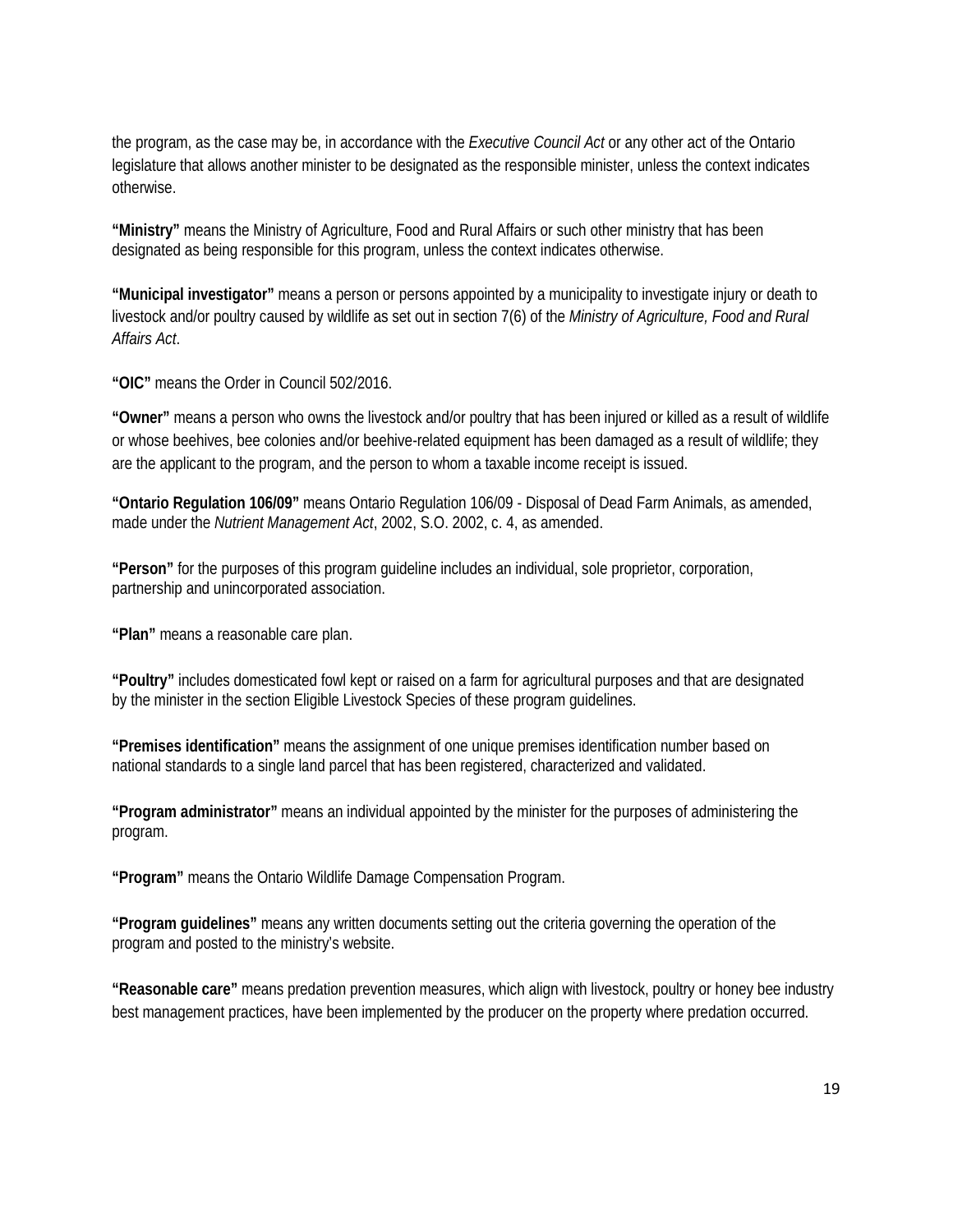the program, as the case may be, in accordance with the *Executive Council Act* or any other act of the Ontario legislature that allows another minister to be designated as the responsible minister, unless the context indicates otherwise.

**"Ministry"** means the Ministry of Agriculture, Food and Rural Affairs or such other ministry that has been designated as being responsible for this program, unless the context indicates otherwise.

**"Municipal investigator"** means a person or persons appointed by a municipality to investigate injury or death to livestock and/or poultry caused by wildlife as set out in section 7(6) of the *Ministry of Agriculture, Food and Rural Affairs Act*.

**"OIC"** means the Order in Council 502/2016.

**"Owner"** means a person who owns the livestock and/or poultry that has been injured or killed as a result of wildlife or whose beehives, bee colonies and/or beehive-related equipment has been damaged as a result of wildlife; they are the applicant to the program, and the person to whom a taxable income receipt is issued.

**"Ontario Regulation 106/09"** means Ontario Regulation 106/09 - Disposal of Dead Farm Animals, as amended, made under the *Nutrient Management Act*, 2002, S.O. 2002, c. 4, as amended.

**"Person"** for the purposes of this program guideline includes an individual, sole proprietor, corporation, partnership and unincorporated association.

**"Plan"** means a reasonable care plan.

**"Poultry"** includes domesticated fowl kept or raised on a farm for agricultural purposes and that are designated by the minister in the section Eligible Livestock Species of these program guidelines.

**"Premises identification"** means the assignment of one unique premises identification number based on national standards to a single land parcel that has been registered, characterized and validated.

**"Program administrator"** means an individual appointed by the minister for the purposes of administering the program.

**"Program"** means the Ontario Wildlife Damage Compensation Program.

**"Program guidelines"** means any written documents setting out the criteria governing the operation of the program and posted to the ministry's website.

**"Reasonable care"** means predation prevention measures, which align with livestock, poultry or honey bee industry best management practices, have been implemented by the producer on the property where predation occurred.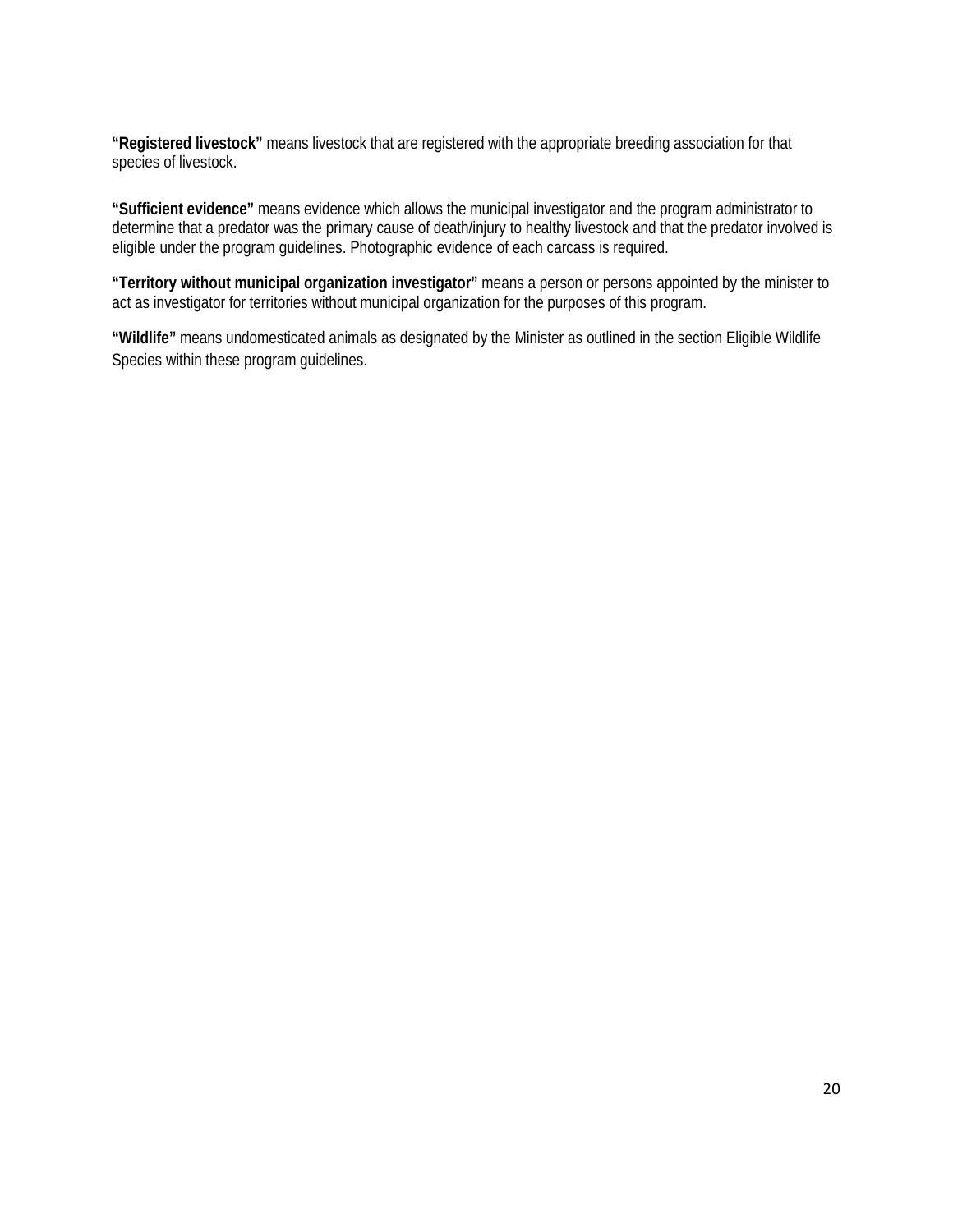**"Registered livestock"** means livestock that are registered with the appropriate breeding association for that species of livestock.

**"Sufficient evidence"** means evidence which allows the municipal investigator and the program administrator to determine that a predator was the primary cause of death/injury to healthy livestock and that the predator involved is eligible under the program guidelines. Photographic evidence of each carcass is required.

**"Territory without municipal organization investigator"** means a person or persons appointed by the minister to act as investigator for territories without municipal organization for the purposes of this program.

<span id="page-19-0"></span>**"Wildlife"** means undomesticated animals as designated by the Minister as outlined in the section Eligible Wildlife Species within these program guidelines.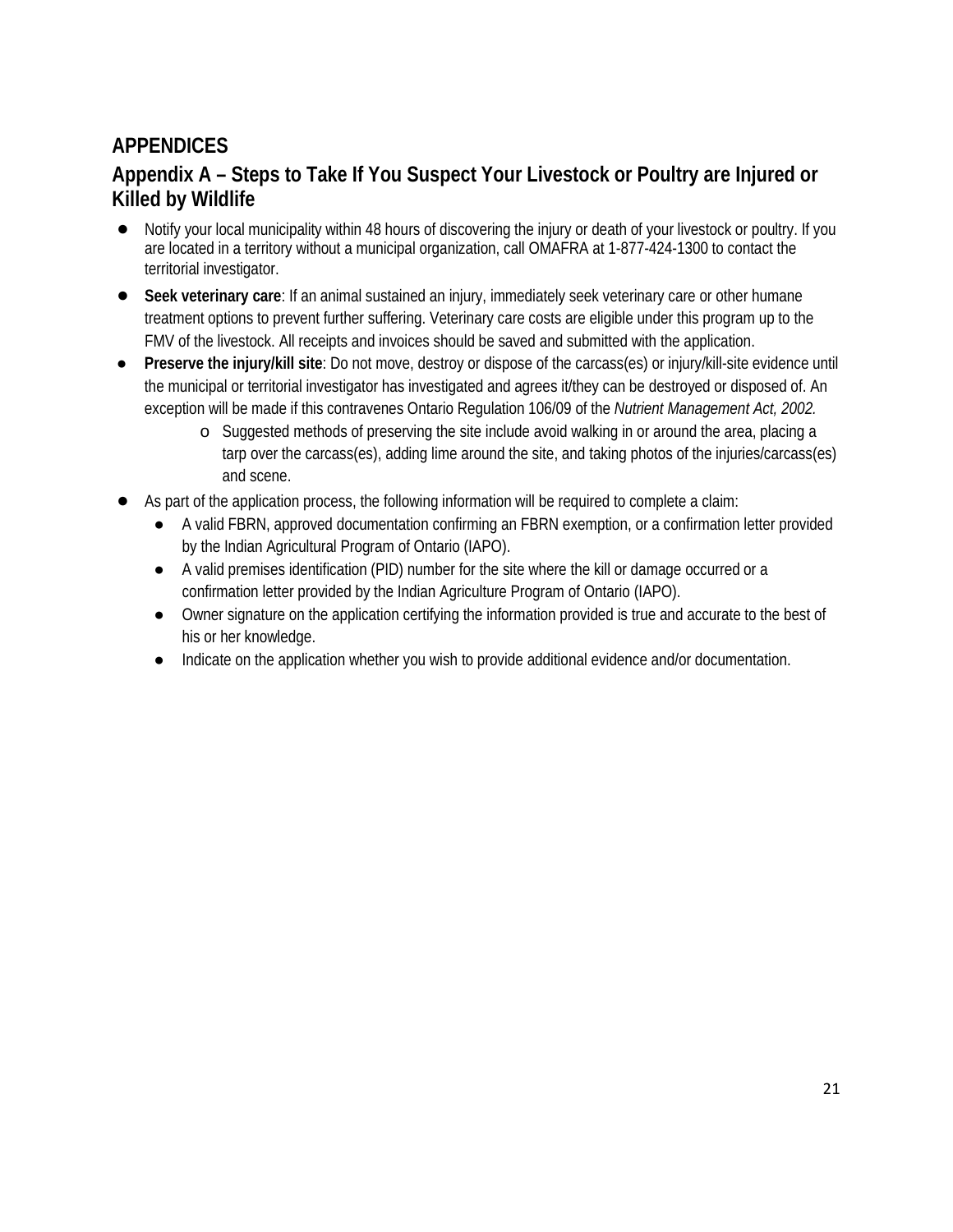# **APPENDICES**

# **Appendix A – Steps to Take If You Suspect Your Livestock or Poultry are Injured or Killed by Wildlife**

- Notify your local municipality within 48 hours of discovering the injury or death of your livestock or poultry. If you are located in a territory without a municipal organization, call OMAFRA at 1-877-424-1300 to contact the territorial investigator.
- **Seek veterinary care**: If an animal sustained an injury, immediately seek veterinary care or other humane treatment options to prevent further suffering. Veterinary care costs are eligible under this program up to the FMV of the livestock. All receipts and invoices should be saved and submitted with the application.
- **Preserve the injury/kill site**: Do not move, destroy or dispose of the carcass(es) or injury/kill-site evidence until the municipal or territorial investigator has investigated and agrees it/they can be destroyed or disposed of. An exception will be made if this contravenes Ontario Regulation 106/09 of the *Nutrient Management Act, 2002.*
	- o Suggested methods of preserving the site include avoid walking in or around the area, placing a tarp over the carcass(es), adding lime around the site, and taking photos of the injuries/carcass(es) and scene.
- As part of the application process, the following information will be required to complete a claim:
	- A valid FBRN, approved documentation confirming an FBRN exemption, or a confirmation letter provided by the Indian Agricultural Program of Ontario (IAPO).
	- A valid premises identification (PID) number for the site where the kill or damage occurred or a confirmation letter provided by the Indian Agriculture Program of Ontario (IAPO).
	- Owner signature on the application certifying the information provided is true and accurate to the best of his or her knowledge.
	- Indicate on the application whether you wish to provide additional evidence and/or documentation.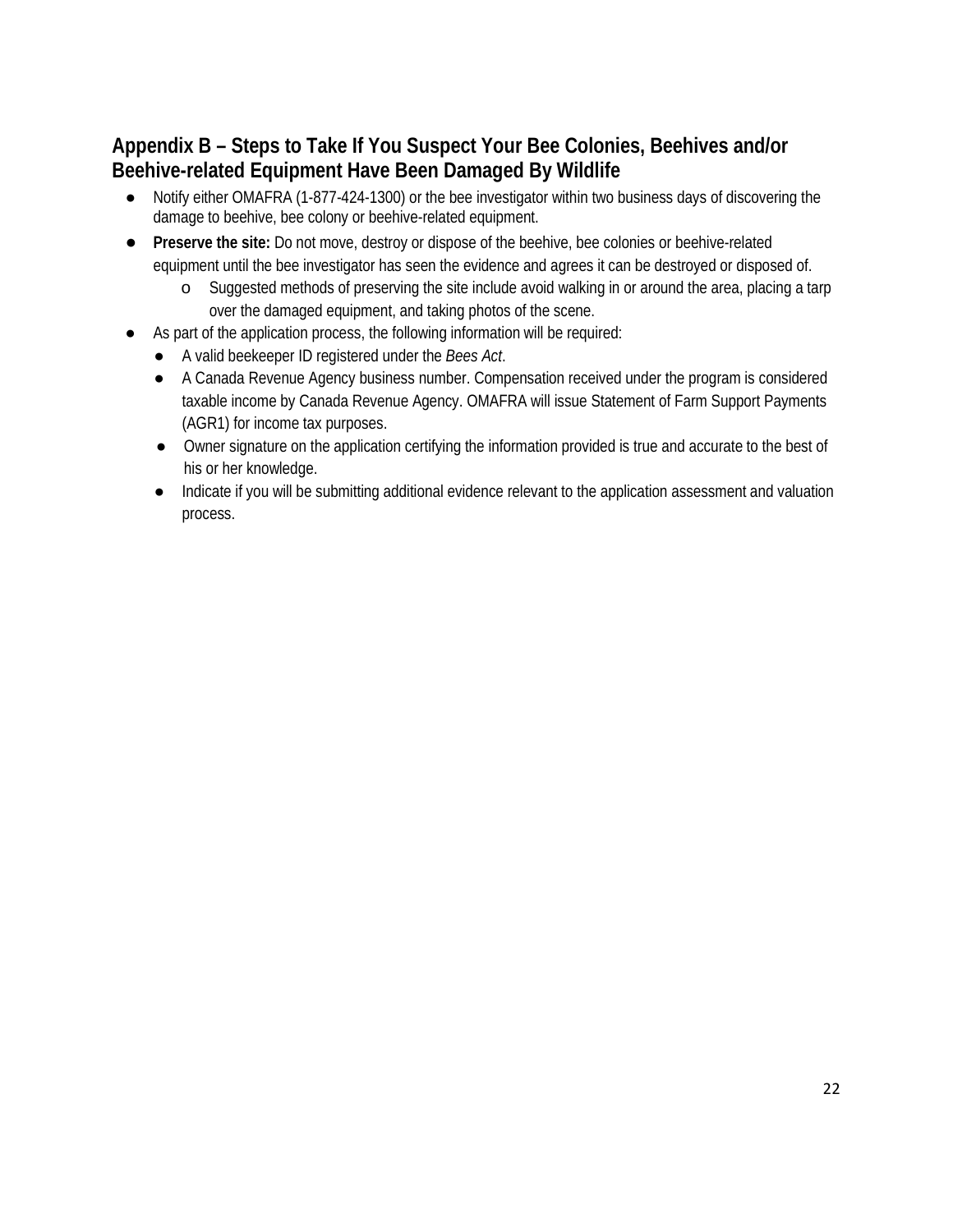# **Appendix B – Steps to Take If You Suspect Your Bee Colonies, Beehives and/or Beehive-related Equipment Have Been Damaged By Wildlife**

- Notify either OMAFRA (1-877-424-1300) or the bee investigator within two business days of discovering the damage to beehive, bee colony or beehive-related equipment.
- Preserve the site: Do not move, destroy or dispose of the beehive, bee colonies or beehive-related equipment until the bee investigator has seen the evidence and agrees it can be destroyed or disposed of.
	- o Suggested methods of preserving the site include avoid walking in or around the area, placing a tarp over the damaged equipment, and taking photos of the scene.
- As part of the application process, the following information will be required:
	- A valid beekeeper ID registered under the *Bees Act*.
	- A Canada Revenue Agency business number. Compensation received under the program is considered taxable income by Canada Revenue Agency. OMAFRA will issue Statement of Farm Support Payments (AGR1) for income tax purposes.
	- Owner signature on the application certifying the information provided is true and accurate to the best of his or her knowledge.
	- Indicate if you will be submitting additional evidence relevant to the application assessment and valuation process.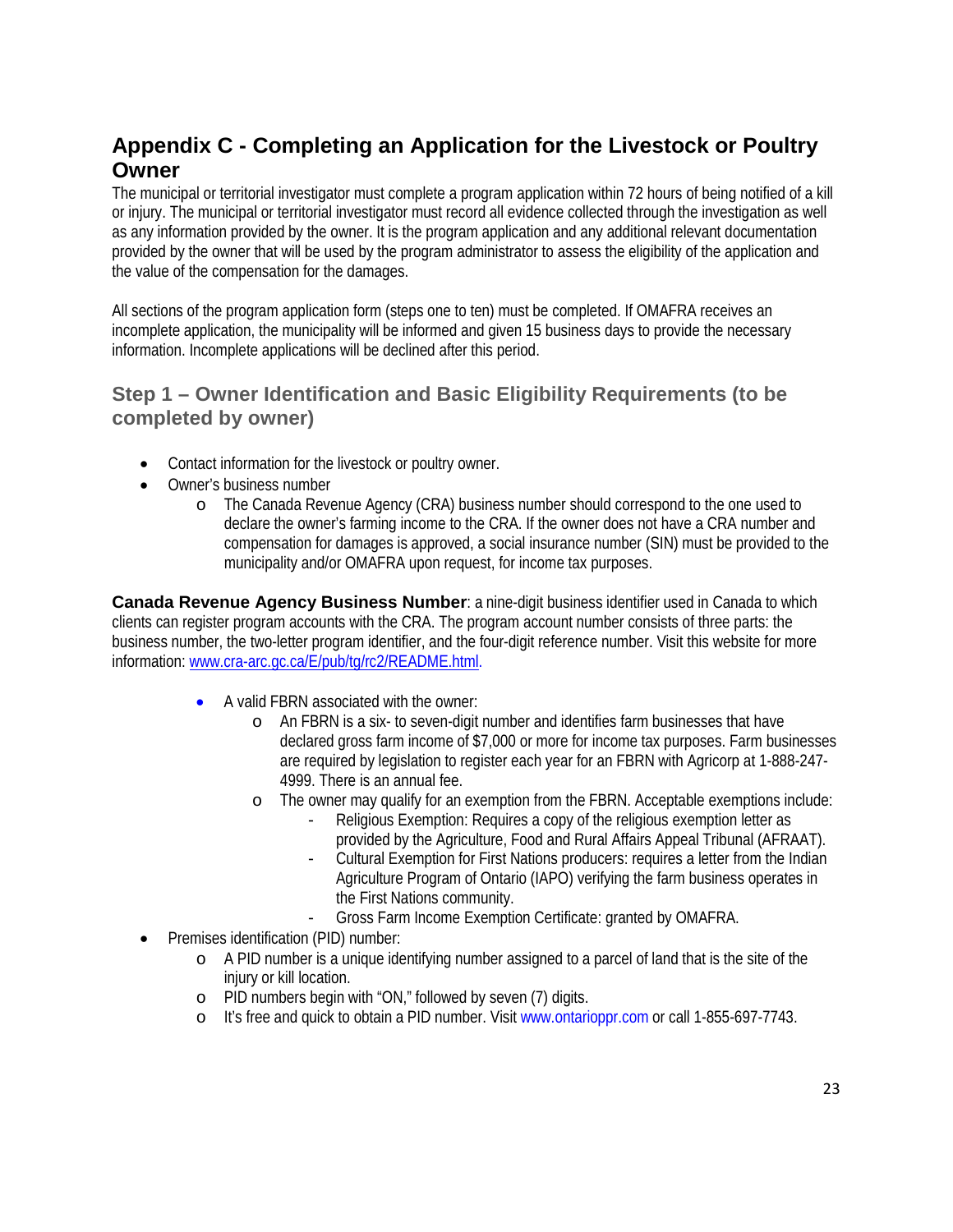# **Appendix C - Completing an Application for the Livestock or Poultry Owner**

The municipal or territorial investigator must complete a program application within 72 hours of being notified of a kill or injury. The municipal or territorial investigator must record all evidence collected through the investigation as well as any information provided by the owner. It is the program application and any additional relevant documentation provided by the owner that will be used by the program administrator to assess the eligibility of the application and the value of the compensation for the damages.

All sections of the program application form (steps one to ten) must be completed. If OMAFRA receives an incomplete application, the municipality will be informed and given 15 business days to provide the necessary information. Incomplete applications will be declined after this period.

### **Step 1 – Owner Identification and Basic Eligibility Requirements (to be completed by owner)**

- Contact information for the livestock or poultry owner.
- Owner's business number
	- o The Canada Revenue Agency (CRA) business number should correspond to the one used to declare the owner's farming income to the CRA. If the owner does not have a CRA number and compensation for damages is approved, a social insurance number (SIN) must be provided to the municipality and/or OMAFRA upon request, for income tax purposes.

**Canada Revenue Agency Business Number**: a nine-digit business identifier used in Canada to which clients can register program accounts with the CRA. The program account number consists of three parts: the business number, the two-letter program identifier, and the four-digit reference number. Visit this website for more information[: www.cra-arc.gc.ca/E/pub/tg/rc2/README.html.](http://www.cra-arc.gc.ca/E/pub/tg/rc2/README.html)

- A valid FBRN associated with the owner:
	- o An FBRN is a six- to seven-digit number and identifies farm businesses that have declared gross farm income of \$7,000 or more for income tax purposes. Farm businesses are required by legislation to register each year for an FBRN with Agricorp at 1-888-247- 4999. There is an annual fee.
	- o The owner may qualify for an exemption from the FBRN. Acceptable exemptions include:
		- Religious Exemption: Requires a copy of the religious exemption letter as provided by the Agriculture, Food and Rural Affairs Appeal Tribunal (AFRAAT).
		- Cultural Exemption for First Nations producers: requires a letter from the Indian Agriculture Program of Ontario (IAPO) verifying the farm business operates in the First Nations community.
		- Gross Farm Income Exemption Certificate: granted by OMAFRA.
- Premises identification (PID) number:
	- $\circ$  A PID number is a unique identifying number assigned to a parcel of land that is the site of the injury or kill location.
	- o PID numbers begin with "ON," followed by seven (7) digits.
	- o It's free and quick to obtain a PID number. Visit www.ontarioppr.com or call 1-855-697-7743.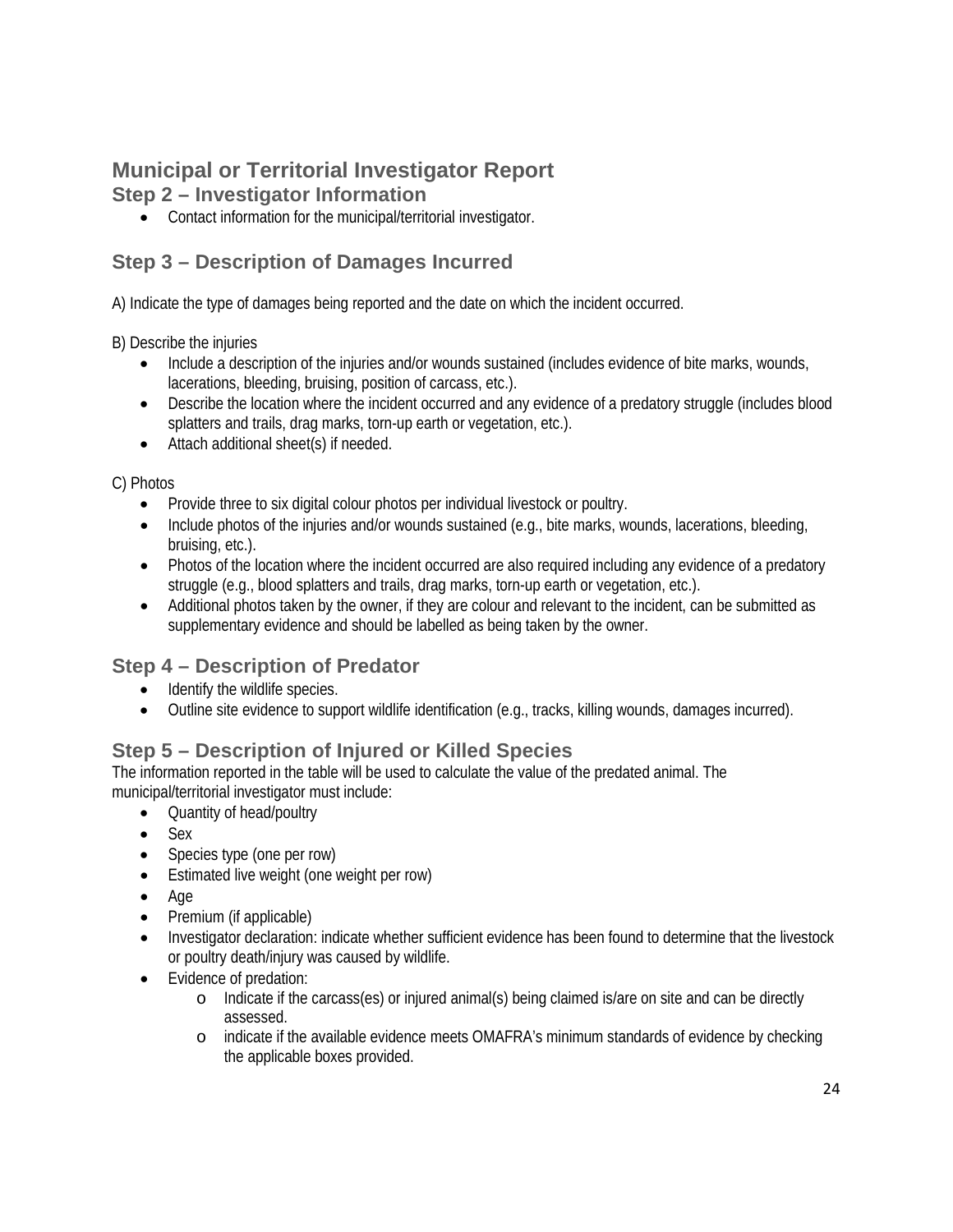# **Municipal or Territorial Investigator Report**

### **Step 2 – Investigator Information**

• Contact information for the municipal/territorial investigator.

# **Step 3 – Description of Damages Incurred**

A) Indicate the type of damages being reported and the date on which the incident occurred.

B) Describe the injuries

- Include a description of the injuries and/or wounds sustained (includes evidence of bite marks, wounds, lacerations, bleeding, bruising, position of carcass, etc.).
- Describe the location where the incident occurred and any evidence of a predatory struggle (includes blood splatters and trails, drag marks, torn-up earth or vegetation, etc.).
- Attach additional sheet(s) if needed.

C) Photos

- Provide three to six digital colour photos per individual livestock or poultry.
- Include photos of the injuries and/or wounds sustained (e.g., bite marks, wounds, lacerations, bleeding, bruising, etc.).
- Photos of the location where the incident occurred are also required including any evidence of a predatory struggle (e.g., blood splatters and trails, drag marks, torn-up earth or vegetation, etc.).
- Additional photos taken by the owner, if they are colour and relevant to the incident, can be submitted as supplementary evidence and should be labelled as being taken by the owner.

## **Step 4 – Description of Predator**

- Identify the wildlife species.
- Outline site evidence to support wildlife identification (e.g., tracks, killing wounds, damages incurred).

## **Step 5 – Description of Injured or Killed Species**

The information reported in the table will be used to calculate the value of the predated animal. The municipal/territorial investigator must include:

- Quantity of head/poultry
- Sex
- Species type (one per row)
- Estimated live weight (one weight per row)
- Age
- Premium (if applicable)
- Investigator declaration: indicate whether sufficient evidence has been found to determine that the livestock or poultry death/injury was caused by wildlife.
- Evidence of predation:
	- o Indicate if the carcass(es) or injured animal(s) being claimed is/are on site and can be directly assessed.
	- o indicate if the available evidence meets OMAFRA's minimum standards of evidence by checking the applicable boxes provided.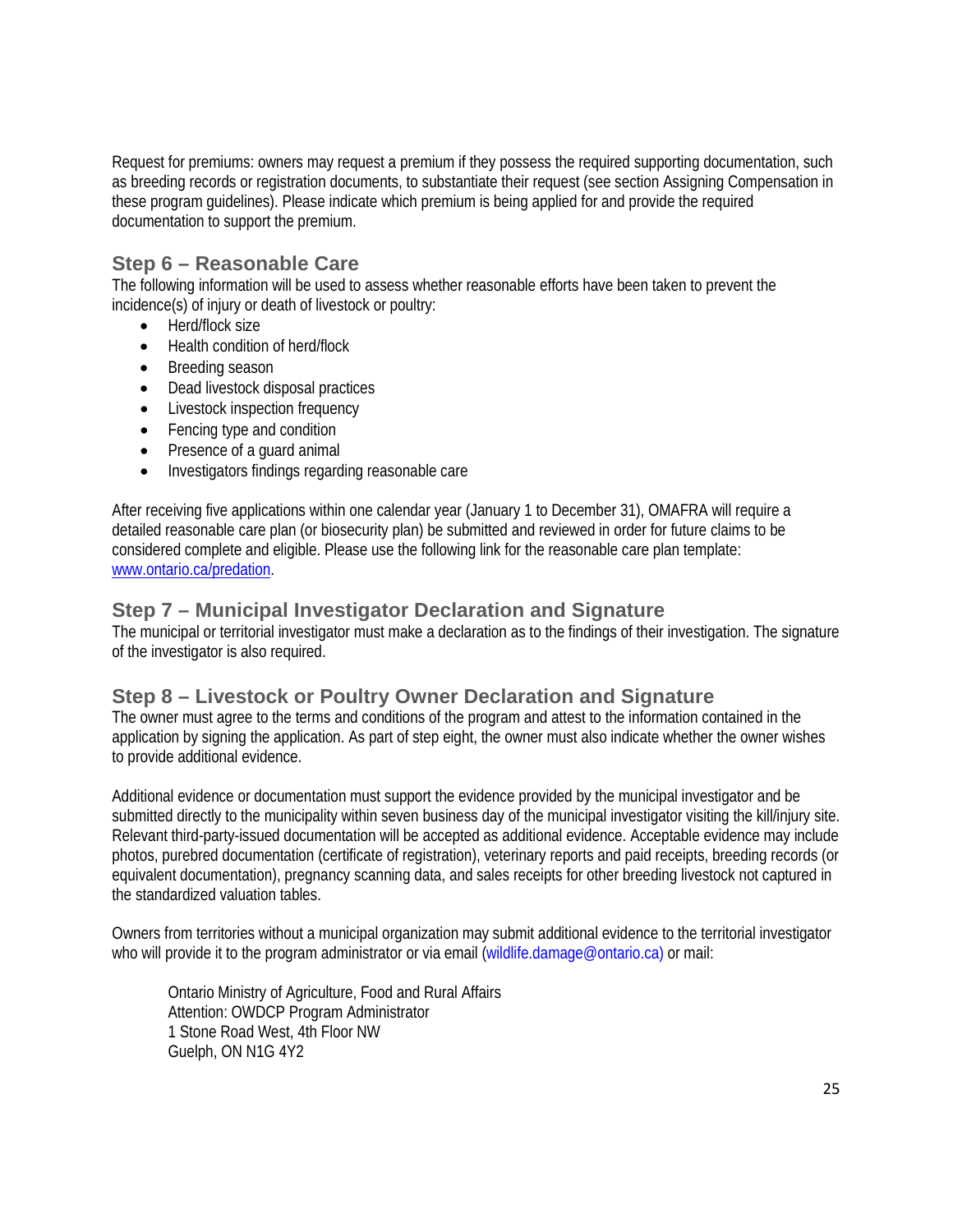Request for premiums: owners may request a premium if they possess the required supporting documentation, such as breeding records or registration documents, to substantiate their request (see section Assigning Compensation in these program guidelines). Please indicate which premium is being applied for and provide the required documentation to support the premium.

### **Step 6 – Reasonable Care**

The following information will be used to assess whether reasonable efforts have been taken to prevent the incidence(s) of injury or death of livestock or poultry:

- Herd/flock size
- Health condition of herd/flock
- Breeding season
- Dead livestock disposal practices
- Livestock inspection frequency
- Fencing type and condition
- Presence of a quard animal
- Investigators findings regarding reasonable care

After receiving five applications within one calendar year (January 1 to December 31), OMAFRA will require a detailed reasonable care plan (or biosecurity plan) be submitted and reviewed in order for future claims to be considered complete and eligible. Please use the following link for the reasonable care plan template: [www.ontario.ca/predation.](http://www.ontario.ca/predation)

#### **Step 7 – Municipal Investigator Declaration and Signature**

The municipal or territorial investigator must make a declaration as to the findings of their investigation. The signature of the investigator is also required.

#### **Step 8 – Livestock or Poultry Owner Declaration and Signature**

The owner must agree to the terms and conditions of the program and attest to the information contained in the application by signing the application. As part of step eight, the owner must also indicate whether the owner wishes to provide additional evidence.

Additional evidence or documentation must support the evidence provided by the municipal investigator and be submitted directly to the municipality within seven business day of the municipal investigator visiting the kill/injury site. Relevant third-party-issued documentation will be accepted as additional evidence. Acceptable evidence may include photos, purebred documentation (certificate of registration), veterinary reports and paid receipts, breeding records (or equivalent documentation), pregnancy scanning data, and sales receipts for other breeding livestock not captured in the standardized valuation tables.

Owners from territories without a municipal organization may submit additional evidence to the territorial investigator who will provide it to the program administrator or via email (wildlife.damage@ontario.ca) or mail:

Ontario Ministry of Agriculture, Food and Rural Affairs Attention: OWDCP Program Administrator 1 Stone Road West, 4th Floor NW Guelph, ON N1G 4Y2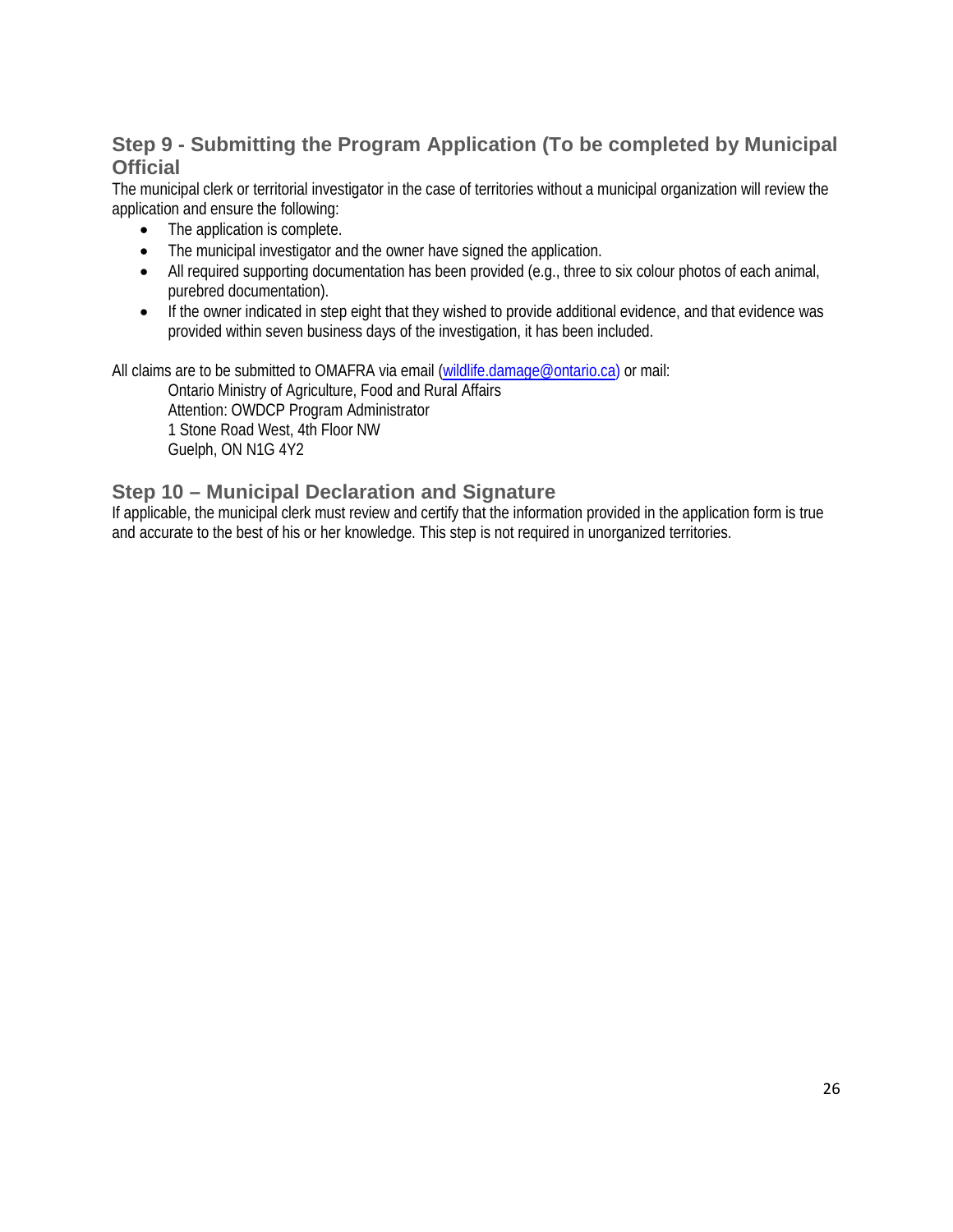# **Step 9 - Submitting the Program Application (To be completed by Municipal Official**

The municipal clerk or territorial investigator in the case of territories without a municipal organization will review the application and ensure the following:

- The application is complete.
- The municipal investigator and the owner have signed the application.
- All required supporting documentation has been provided (e.g., three to six colour photos of each animal, purebred documentation).
- If the owner indicated in step eight that they wished to provide additional evidence, and that evidence was provided within seven business days of the investigation, it has been included.

All claims are to be submitted to OMAFRA via email [\(wildlife.damage@ontario.ca\)](mailto:wildlife.damage@ontario.ca) or mail:

Ontario Ministry of Agriculture, Food and Rural Affairs Attention: OWDCP Program Administrator 1 Stone Road West, 4th Floor NW Guelph, ON N1G 4Y2

### **Step 10 – Municipal Declaration and Signature**

If applicable, the municipal clerk must review and certify that the information provided in the application form is true and accurate to the best of his or her knowledge. This step is not required in unorganized territories.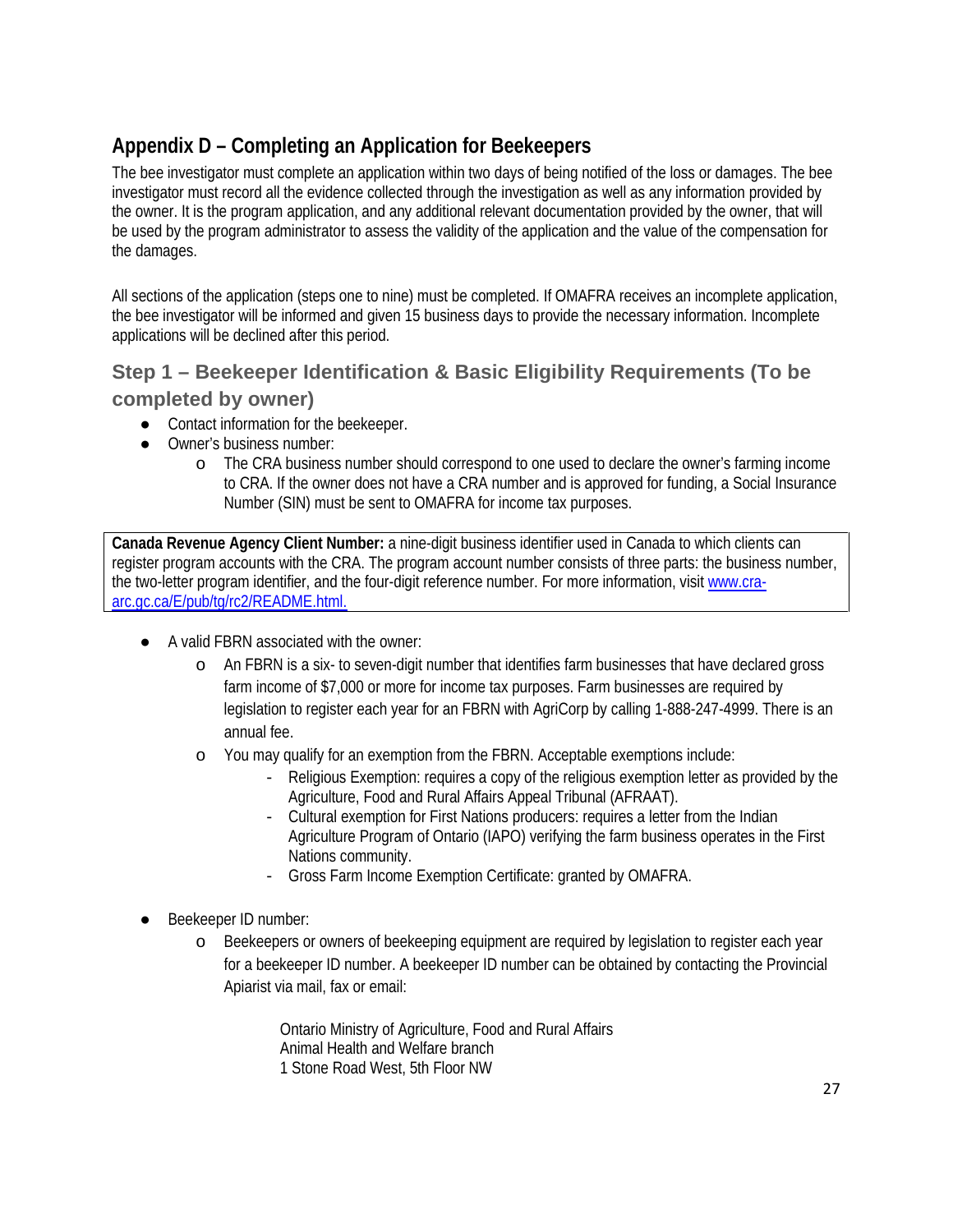# **Appendix D – Completing an Application for Beekeepers**

The bee investigator must complete an application within two days of being notified of the loss or damages. The bee investigator must record all the evidence collected through the investigation as well as any information provided by the owner. It is the program application, and any additional relevant documentation provided by the owner, that will be used by the program administrator to assess the validity of the application and the value of the compensation for the damages.

All sections of the application (steps one to nine) must be completed. If OMAFRA receives an incomplete application, the bee investigator will be informed and given 15 business days to provide the necessary information. Incomplete applications will be declined after this period.

# **Step 1 – Beekeeper Identification & Basic Eligibility Requirements (To be completed by owner)**

- Contact information for the beekeeper.
- Owner's business number:
	- o The CRA business number should correspond to one used to declare the owner's farming income to CRA. If the owner does not have a CRA number and is approved for funding, a Social Insurance Number (SIN) must be sent to OMAFRA for income tax purposes.

**Canada Revenue Agency Client Number:** a nine-digit business identifier used in Canada to which clients can register program accounts with the CRA. The program account number consists of three parts: the business number, the two-letter program identifier, and the four-digit reference number. For more information, visit [www.cra](http://www.cra-arc.gc.ca/E/pub/tg/rc2/README.html)[arc.gc.ca/E/pub/tg/rc2/README.html.](http://www.cra-arc.gc.ca/E/pub/tg/rc2/README.html)

- A valid FBRN associated with the owner:
	- o An FBRN is a six- to seven-digit number that identifies farm businesses that have declared gross farm income of \$7,000 or more for income tax purposes. Farm businesses are required by legislation to register each year for an FBRN with AgriCorp by calling 1-888-247-4999. There is an annual fee.
	- o You may qualify for an exemption from the FBRN. Acceptable exemptions include:
		- Religious Exemption: requires a copy of the religious exemption letter as provided by the Agriculture, Food and Rural Affairs Appeal Tribunal (AFRAAT).
		- Cultural exemption for First Nations producers: requires a letter from the Indian Agriculture Program of Ontario (IAPO) verifying the farm business operates in the First Nations community.
		- Gross Farm Income Exemption Certificate: granted by OMAFRA.
- Beekeeper ID number:
	- o Beekeepers or owners of beekeeping equipment are required by legislation to register each year for a beekeeper ID number. A beekeeper ID number can be obtained by contacting the Provincial Apiarist via mail, fax or email:

Ontario Ministry of Agriculture, Food and Rural Affairs Animal Health and Welfare branch 1 Stone Road West, 5th Floor NW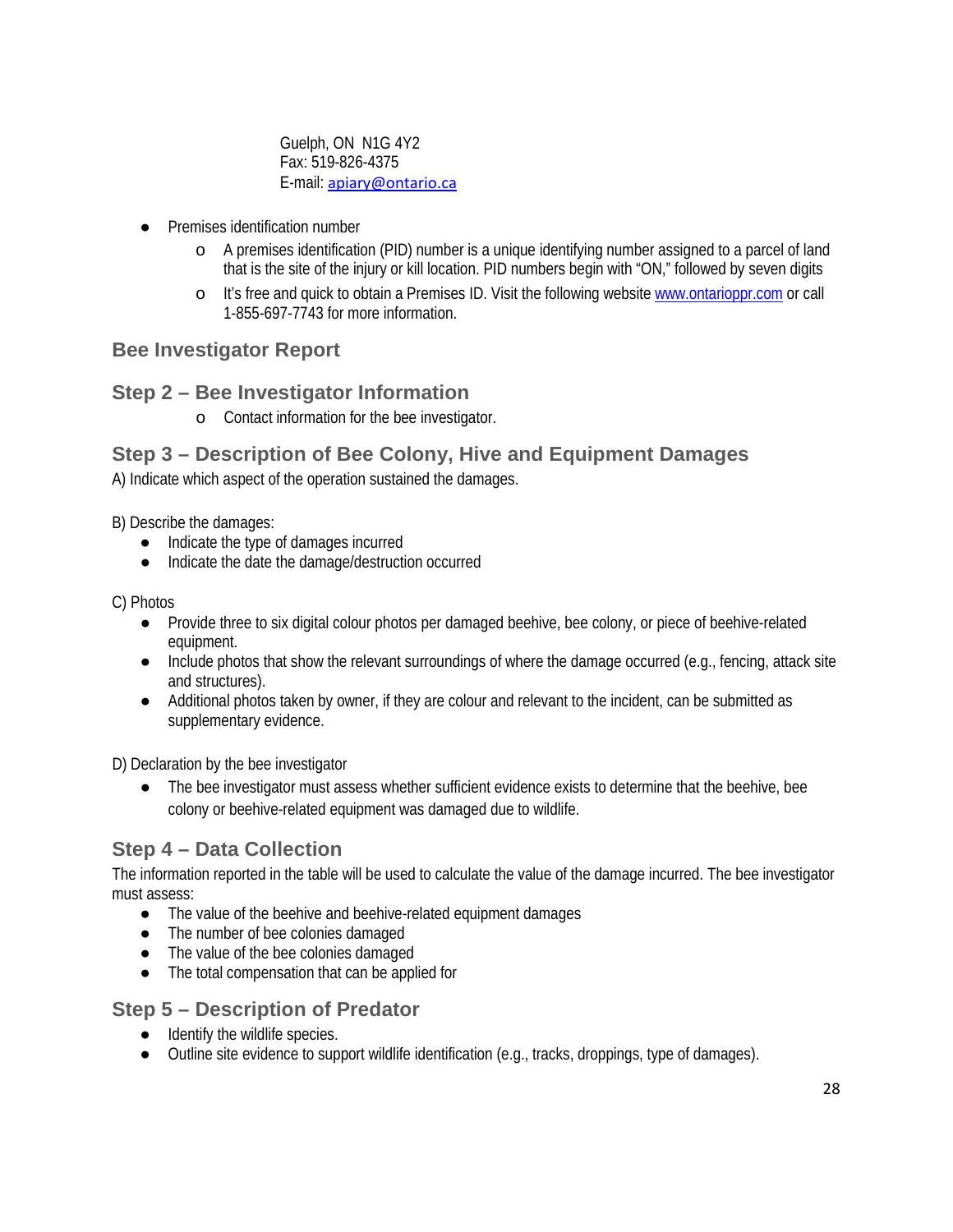Guelph, ON N1G 4Y2 Fax: 519-826-4375 E-mail: [apiary@ontario.ca](mailto:apiary@ontario.ca)

- **Premises identification number** 
	- o A premises identification (PID) number is a unique identifying number assigned to a parcel of land that is the site of the injury or kill location. PID numbers begin with "ON," followed by seven digits
	- o It's free and quick to obtain a Premises ID. Visit the following website [www.ontarioppr.com](https://www.ontarioppr.com/home_en.html?font=M) or call 1-855-697-7743 for more information.

### **Bee Investigator Report**

### **Step 2 – Bee Investigator Information**

o Contact information for the bee investigator.

### **Step 3 – Description of Bee Colony, Hive and Equipment Damages**

A) Indicate which aspect of the operation sustained the damages.

B) Describe the damages:

- Indicate the type of damages incurred
- Indicate the date the damage/destruction occurred

C) Photos

- Provide three to six digital colour photos per damaged beehive, bee colony, or piece of beehive-related equipment.
- Include photos that show the relevant surroundings of where the damage occurred (e.g., fencing, attack site and structures).
- Additional photos taken by owner, if they are colour and relevant to the incident, can be submitted as supplementary evidence.

D) Declaration by the bee investigator

The bee investigator must assess whether sufficient evidence exists to determine that the beehive, bee colony or beehive-related equipment was damaged due to wildlife.

### **Step 4 – Data Collection**

The information reported in the table will be used to calculate the value of the damage incurred. The bee investigator must assess:

- The value of the beehive and beehive-related equipment damages
- The number of bee colonies damaged
- The value of the bee colonies damaged
- The total compensation that can be applied for

### **Step 5 – Description of Predator**

- Identify the wildlife species.
- Outline site evidence to support wildlife identification (e.g., tracks, droppings, type of damages).